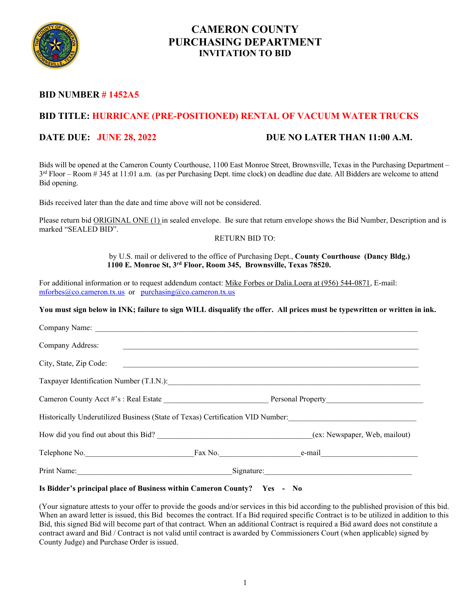

### **CAMERON COUNTY PURCHASING DEPARTMENT INVITATION TO BID**

### **BID NUMBER # 1452A5**

### **BID TITLE: HURRICANE (PRE-POSITIONED) RENTAL OF VACUUM WATER TRUCKS**

### **DATE DUE: JUNE 28, 2022 DUE NO LATER THAN 11:00 A.M.**

Bids will be opened at the Cameron County Courthouse, 1100 East Monroe Street, Brownsville, Texas in the Purchasing Department –  $3<sup>rd</sup> Floor - Room # 345 at 11:01 a.m.$  (as per Purchasing Dept. time clock) on deadline due date. All Bidders are welcome to attend Bid opening.

Bids received later than the date and time above will not be considered.

Please return bid ORIGINAL ONE (1) in sealed envelope. Be sure that return envelope shows the Bid Number, Description and is marked "SEALED BID".

#### RETURN BID TO:

by U.S. mail or delivered to the office of Purchasing Dept., **County Courthouse (Dancy Bldg.) 1100 E. Monroe St, 3rd Floor, Room 345, Brownsville, Texas 78520.**

For additional information or to request addendum contact: Mike Forbes or Dalia.Loera at (956) 544-0871, E-mail: [mforbes@co.cameron.tx.us](mailto:mforbes@co.cameron.tx.us) or [purchasing@co.cameron.tx.us](mailto:purchasing@co.cameron.tx.us)

**You must sign below in INK; failure to sign WILL disqualify the offer. All prices must be typewritten or written in ink.**

| Company Address:       |                                                                                                                          |
|------------------------|--------------------------------------------------------------------------------------------------------------------------|
| City, State, Zip Code: |                                                                                                                          |
|                        | Taxpayer Identification Number (T.I.N.): [2010] The Contract of the Contract of Taxpayer Identification Number (T.I.N.): |
|                        |                                                                                                                          |
|                        | Historically Underutilized Business (State of Texas) Certification VID Number:                                           |
|                        |                                                                                                                          |
| Telephone No.          | $Fax No.$ e-mail                                                                                                         |
|                        | Signature:                                                                                                               |

#### **Is Bidder's principal place of Business within Cameron County? Yes - No**

(Your signature attests to your offer to provide the goods and/or services in this bid according to the published provision of this bid. When an award letter is issued, this Bid becomes the contract. If a Bid required specific Contract is to be utilized in addition to this Bid, this signed Bid will become part of that contract. When an additional Contract is required a Bid award does not constitute a contract award and Bid / Contract is not valid until contract is awarded by Commissioners Court (when applicable) signed by County Judge) and Purchase Order is issued.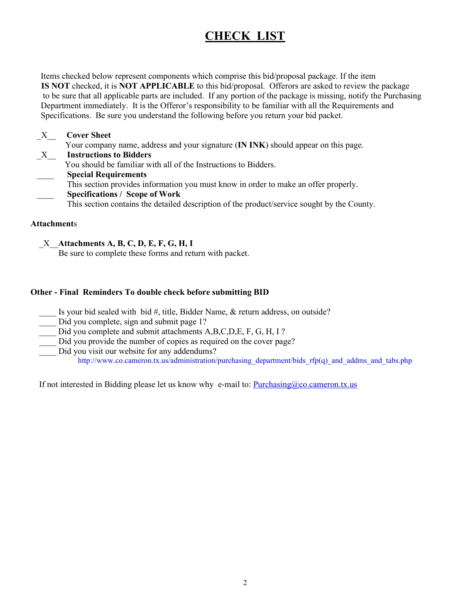# **CHECK LIST**

 Items checked below represent components which comprise this bid/proposal package. If the item **IS NOT** checked, it is **NOT APPLICABLE** to this bid/proposal. Offerors are asked to review the package to be sure that all applicable parts are included. If any portion of the package is missing, notify the Purchasing Department immediately. It is the Offeror's responsibility to be familiar with all the Requirements and Specifications. Be sure you understand the following before you return your bid packet.

### \_X\_\_ **Cover Sheet** Your company name, address and your signature (**IN INK**) should appear on this page. \_X\_\_ **Instructions to Bidders** You should be familiar with all of the Instructions to Bidders. \_\_\_\_ **Special Requirements** This section provides information you must know in order to make an offer properly. \_\_\_\_ **Specifications / Scope of Work** This section contains the detailed description of the product/service sought by the County.

### **Attachment**s

\_X\_\_**Attachments A, B, C, D, E, F, G, H, I** 

Be sure to complete these forms and return with packet.

### **Other - Final Reminders To double check before submitting BID**

- Is your bid sealed with bid #, title, Bidder Name, & return address, on outside?
- Did you complete, sign and submit page 1?
- Did you complete and submit attachments A,B,C,D,E, F, G, H, I ?
- Did you provide the number of copies as required on the cover page?
- Did you visit our website for any addendums? http://www.co.cameron.tx.us/administration/purchasing\_department/bids\_rfp(q)\_and\_addms\_and\_tabs.php

If not interested in Bidding please let us know why e-mail to:  $\frac{Purchasing@co.cameron.txt.us}{Purchasing@co.cameron.txt.us}$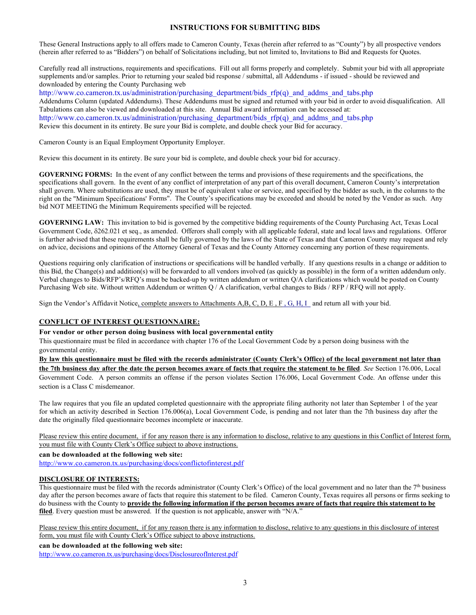#### **INSTRUCTIONS FOR SUBMITTING BIDS**

These General Instructions apply to all offers made to Cameron County, Texas (herein after referred to as "County") by all prospective vendors (herein after referred to as "Bidders") on behalf of Solicitations including, but not limited to, Invitations to Bid and Requests for Quotes.

Carefully read all instructions, requirements and specifications. Fill out all forms properly and completely. Submit your bid with all appropriate supplements and/or samples. Prior to returning your sealed bid response / submittal, all Addendums - if issued - should be reviewed and downloaded by entering the County Purchasing web

http://www.co.cameron.tx.us/administration/purchasing\_department/bids\_rfp(q)\_and\_addms\_and\_tabs.php Addendums Column (updated Addendums). These Addendums must be signed and returned with your bid in order to avoid disqualification. All Tabulations can also be viewed and downloaded at this site. Annual Bid award information can be accessed at: http://www.co.cameron.tx.us/administration/purchasing\_department/bids\_rfp(q)\_and\_addms\_and\_tabs.php Review this document in its entirety. Be sure your Bid is complete, and double check your Bid for accuracy.

Cameron County is an Equal Employment Opportunity Employer.

Review this document in its entirety. Be sure your bid is complete, and double check your bid for accuracy.

**GOVERNING FORMS:** In the event of any conflict between the terms and provisions of these requirements and the specifications, the specifications shall govern. In the event of any conflict of interpretation of any part of this overall document, Cameron County's interpretation shall govern. Where substitutions are used, they must be of equivalent value or service, and specified by the bidder as such, in the columns to the right on the "Minimum Specifications' Forms". The County's specifications may be exceeded and should be noted by the Vendor as such. Any bid NOT MEETING the Minimum Requirements specified will be rejected.

**GOVERNING LAW:** This invitation to bid is governed by the competitive bidding requirements of the County Purchasing Act, Texas Local Government Code, δ262.021 et seq., as amended. Offerors shall comply with all applicable federal, state and local laws and regulations. Offeror is further advised that these requirements shall be fully governed by the laws of the State of Texas and that Cameron County may request and rely on advice, decisions and opinions of the Attorney General of Texas and the County Attorney concerning any portion of these requirements.

Questions requiring only clarification of instructions or specifications will be handled verbally. If any questions results in a change or addition to this Bid, the Change(s) and addition(s) will be forwarded to all vendors involved (as quickly as possible) in the form of a written addendum only. Verbal changes to Bids/RFP's/RFQ's must be backed-up by written addendum or written Q/A clarifications which would be posted on County Purchasing Web site. Without written Addendum or written Q / A clarification, verbal changes to Bids / RFP / RFQ will not apply.

Sign the Vendor's Affidavit Notice, complete answers to Attachments A,B, C, D, E , F , G, H, I and return all with your bid.

#### **CONFLICT OF INTEREST QUESTIONNAIRE:**

#### **For vendor or other person doing business with local governmental entity**

This questionnaire must be filed in accordance with chapter 176 of the Local Government Code by a person doing business with the governmental entity.

**By law this questionnaire must be filed with the records administrator (County Clerk's Office) of the local government not later than the 7th business day after the date the person becomes aware of facts that require the statement to be filed**. *See* Section 176.006, Local Government Code. A person commits an offense if the person violates Section 176.006, Local Government Code. An offense under this section is a Class C misdemeanor.

The law requires that you file an updated completed questionnaire with the appropriate filing authority not later than September 1 of the year for which an activity described in Section 176.006(a), Local Government Code, is pending and not later than the 7th business day after the date the originally filed questionnaire becomes incomplete or inaccurate.

Please review this entire document, if for any reason there is any information to disclose, relative to any questions in this Conflict of Interest form, you must file with County Clerk's Office subject to above instructions.

**can be downloaded at the following web site:**

<http://www.co.cameron.tx.us/purchasing/docs/conflictofinterest.pdf>

#### **DISCLOSURE OF INTERESTS:**

This questionnaire must be filed with the records administrator (County Clerk's Office) of the local government and no later than the  $7<sup>th</sup>$  business day after the person becomes aware of facts that require this statement to be filed. Cameron County, Texas requires all persons or firms seeking to do business with the County to **provide the following information if the person becomes aware of facts that require this statement to be filed**. Every question must be answered. If the question is not applicable, answer with "N/A."

Please review this entire document, if for any reason there is any information to disclose, relative to any questions in this disclosure of interest form, you must file with County Clerk's Office subject to above instructions.

**can be downloaded at the following web site:**

<http://www.co.cameron.tx.us/purchasing/docs/DisclosureofInterest.pdf>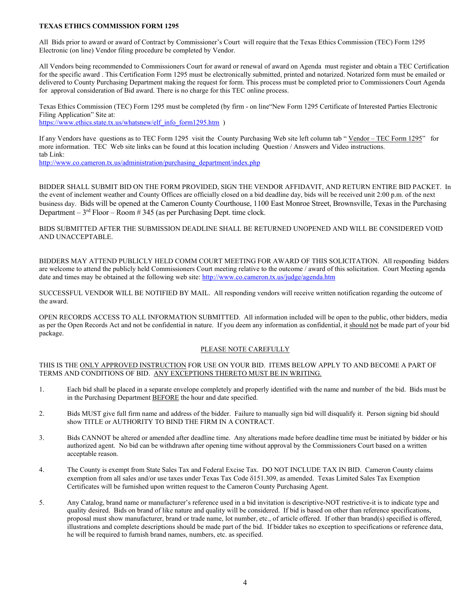#### **TEXAS ETHICS COMMISSION FORM 1295**

All Bids prior to award or award of Contract by Commissioner's Court will require that the Texas Ethics Commission (TEC) Form 1295 Electronic (on line) Vendor filing procedure be completed by Vendor.

All Vendors being recommended to Commissioners Court for award or renewal of award on Agenda must register and obtain a TEC Certification for the specific award . This Certification Form 1295 must be electronically submitted, printed and notarized. Notarized form must be emailed or delivered to County Purchasing Department making the request for form. This process must be completed prior to Commissioners Court Agenda for approval consideration of Bid award. There is no charge for this TEC online process.

Texas Ethics Commission (TEC) Form 1295 must be completed (by firm - on line"New Form 1295 Certificate of Interested Parties Electronic Filing Application" Site at: [https://www.ethics.state.tx.us/whatsnew/elf\\_info\\_form1295.htm](https://www.ethics.state.tx.us/whatsnew/elf_info_form1295.htm) )

If any Vendors have questions as to TEC Form 1295 visit the County Purchasing Web site left column tab "Vendor – TEC Form 1295" for more information. TEC Web site links can be found at this location including Question / Answers and Video instructions. tab Link:

[http://www.co.cameron.tx.us/administration/purchasing\\_department/index.php](http://www.co.cameron.tx.us/administration/purchasing_department/index.php)

BIDDER SHALL SUBMIT BID ON THE FORM PROVIDED, SIGN THE VENDOR AFFIDAVIT, AND RETURN ENTIRE BID PACKET. In the event of inclement weather and County Offices are officially closed on a bid deadline day, bids will be received unit 2:00 p.m. of the next business day. Bids will be opened at the Cameron County Courthouse, 1100 East Monroe Street, Brownsville, Texas in the Purchasing Department –  $3<sup>rd</sup>$  Floor – Room #345 (as per Purchasing Dept. time clock.

BIDS SUBMITTED AFTER THE SUBMISSION DEADLINE SHALL BE RETURNED UNOPENED AND WILL BE CONSIDERED VOID AND UNACCEPTABLE.

BIDDERS MAY ATTEND PUBLICLY HELD COMM COURT MEETING FOR AWARD OF THIS SOLICITATION. All responding bidders are welcome to attend the publicly held Commissioners Court meeting relative to the outcome / award of this solicitation. Court Meeting agenda date and times may be obtained at the following web site:<http://www.co.cameron.tx.us/judge/agenda.htm>

SUCCESSFUL VENDOR WILL BE NOTIFIED BY MAIL. All responding vendors will receive written notification regarding the outcome of the award.

OPEN RECORDS ACCESS TO ALL INFORMATION SUBMITTED. All information included will be open to the public, other bidders, media as per the Open Records Act and not be confidential in nature. If you deem any information as confidential, it should not be made part of your bid package.

#### PLEASE NOTE CAREFULLY

#### THIS IS THE ONLY APPROVED INSTRUCTION FOR USE ON YOUR BID. ITEMS BELOW APPLY TO AND BECOME A PART OF TERMS AND CONDITIONS OF BID. ANY EXCEPTIONS THERETO MUST BE IN WRITING.

- 1. Each bid shall be placed in a separate envelope completely and properly identified with the name and number of the bid. Bids must be in the Purchasing Department BEFORE the hour and date specified.
- 2. Bids MUST give full firm name and address of the bidder. Failure to manually sign bid will disqualify it. Person signing bid should show TITLE or AUTHORITY TO BIND THE FIRM IN A CONTRACT.
- 3. Bids CANNOT be altered or amended after deadline time. Any alterations made before deadline time must be initiated by bidder or his authorized agent. No bid can be withdrawn after opening time without approval by the Commissioners Court based on a written acceptable reason.
- 4. The County is exempt from State Sales Tax and Federal Excise Tax. DO NOT INCLUDE TAX IN BID. Cameron County claims exemption from all sales and/or use taxes under Texas Tax Code δ151.309, as amended. Texas Limited Sales Tax Exemption Certificates will be furnished upon written request to the Cameron County Purchasing Agent.
- 5. Any Catalog, brand name or manufacturer's reference used in a bid invitation is descriptive-NOT restrictive-it is to indicate type and quality desired. Bids on brand of like nature and quality will be considered. If bid is based on other than reference specifications, proposal must show manufacturer, brand or trade name, lot number, etc., of article offered. If other than brand(s) specified is offered, illustrations and complete descriptions should be made part of the bid. If bidder takes no exception to specifications or reference data, he will be required to furnish brand names, numbers, etc. as specified.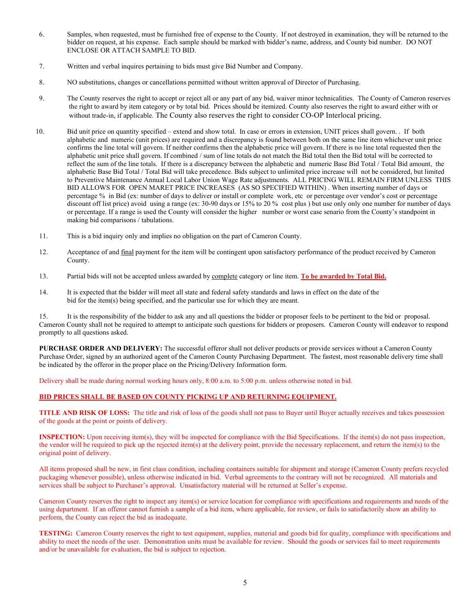- 6. Samples, when requested, must be furnished free of expense to the County. If not destroyed in examination, they will be returned to the bidder on request, at his expense. Each sample should be marked with bidder's name, address, and County bid number. DO NOT ENCLOSE OR ATTACH SAMPLE TO BID.
- 7. Written and verbal inquires pertaining to bids must give Bid Number and Company.
- 8. NO substitutions, changes or cancellations permitted without written approval of Director of Purchasing.
- 9. The County reserves the right to accept or reject all or any part of any bid, waiver minor technicalities. The County of Cameron reserves the right to award by item category or by total bid. Prices should be itemized. County also reserves the right to award either with or without trade-in, if applicable. The County also reserves the right to consider CO-OP Interlocal pricing.
- 10. Bid unit price on quantity specified extend and show total. In case or errors in extension, UNIT prices shall govern. . If both alphabetic and numeric (unit prices) are required and a discrepancy is found between both on the same line item whichever unit price confirms the line total will govern. If neither confirms then the alphabetic price will govern. If there is no line total requested then the alphabetic unit price shall govern. If combined / sum of line totals do not match the Bid total then the Bid total will be corrected to reflect the sum of the line totals. If there is a discrepancy between the alphabetic and numeric Base Bid Total / Total Bid amount, the alphabetic Base Bid Total / Total Bid will take precedence. Bids subject to unlimited price increase will not be considered, but limited to Preventive Maintenance Annual Local Labor Union Wage Rate adjustments. ALL PRICING WILL REMAIN FIRM UNLESS THIS BID ALLOWS FOR OPEN MARET PRICE INCREASES (AS SO SPECIFIED WITHIN) . When inserting number of days or percentage % in Bid (ex: number of days to deliver or install or complete work, etc or percentage over vendor's cost or percentage discount off list price) avoid using a range (ex: 30-90 days or 15% to 20 % cost plus ) but use only only one number for number of days or percentage. If a range is used the County will consider the higher number or worst case senario from the County's standpoint in making bid comparisons / tabulations.
- 11. This is a bid inquiry only and implies no obligation on the part of Cameron County.
- 12. Acceptance of and final payment for the item will be contingent upon satisfactory performance of the product received by Cameron County.
- 13. Partial bids will not be accepted unless awarded by complete category or line item. **To be awarded by Total Bid.**
- 14. It is expected that the bidder will meet all state and federal safety standards and laws in effect on the date of the bid for the item(s) being specified, and the particular use for which they are meant.

15. It is the responsibility of the bidder to ask any and all questions the bidder or proposer feels to be pertinent to the bid or proposal. Cameron County shall not be required to attempt to anticipate such questions for bidders or proposers. Cameron County will endeavor to respond promptly to all questions asked.

**PURCHASE ORDER AND DELIVERY:** The successful offeror shall not deliver products or provide services without a Cameron County Purchase Order, signed by an authorized agent of the Cameron County Purchasing Department. The fastest, most reasonable delivery time shall be indicated by the offeror in the proper place on the Pricing/Delivery Information form.

Delivery shall be made during normal working hours only, 8:00 a.m. to 5:00 p.m. unless otherwise noted in bid.

#### **BID PRICES SHALL BE BASED ON COUNTY PICKING UP AND RETURNING EQUIPMENT.**

**TITLE AND RISK OF LOSS:** The title and risk of loss of the goods shall not pass to Buyer until Buyer actually receives and takes possession of the goods at the point or points of delivery.

**INSPECTION:** Upon receiving item(s), they will be inspected for compliance with the Bid Specifications. If the item(s) do not pass inspection, the vendor will be required to pick up the rejected item(s) at the delivery point, provide the necessary replacement, and return the item(s) to the original point of delivery.

All items proposed shall be new, in first class condition, including containers suitable for shipment and storage (Cameron County prefers recycled packaging whenever possible), unless otherwise indicated in bid. Verbal agreements to the contrary will not be recognized. All materials and services shall be subject to Purchaser's approval. Unsatisfactory material will be returned at Seller's expense.

Cameron County reserves the right to inspect any item(s) or service location for compliance with specifications and requirements and needs of the using department. If an offeror cannot furnish a sample of a bid item, where applicable, for review, or fails to satisfactorily show an ability to perform, the County can reject the bid as inadequate.

**TESTING:** Cameron County reserves the right to test equipment, supplies, material and goods bid for quality, compliance with specifications and ability to meet the needs of the user. Demonstration units must be available for review. Should the goods or services fail to meet requirements and/or be unavailable for evaluation, the bid is subject to rejection.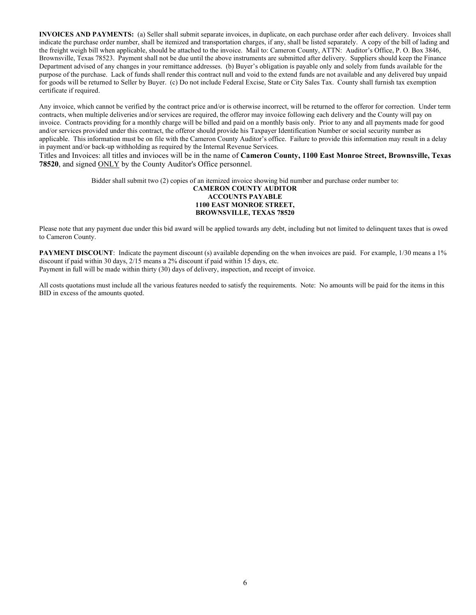**INVOICES AND PAYMENTS:** (a) Seller shall submit separate invoices, in duplicate, on each purchase order after each delivery. Invoices shall indicate the purchase order number, shall be itemized and transportation charges, if any, shall be listed separately. A copy of the bill of lading and the freight weigh bill when applicable, should be attached to the invoice. Mail to: Cameron County, ATTN: Auditor's Office, P. O. Box 3846, Brownsville, Texas 78523. Payment shall not be due until the above instruments are submitted after delivery. Suppliers should keep the Finance Department advised of any changes in your remittance addresses. (b) Buyer's obligation is payable only and solely from funds available for the purpose of the purchase. Lack of funds shall render this contract null and void to the extend funds are not available and any delivered buy unpaid for goods will be returned to Seller by Buyer. (c) Do not include Federal Excise, State or City Sales Tax. County shall furnish tax exemption certificate if required.

Any invoice, which cannot be verified by the contract price and/or is otherwise incorrect, will be returned to the offeror for correction. Under term contracts, when multiple deliveries and/or services are required, the offeror may invoice following each delivery and the County will pay on invoice. Contracts providing for a monthly charge will be billed and paid on a monthly basis only. Prior to any and all payments made for good and/or services provided under this contract, the offeror should provide his Taxpayer Identification Number or social security number as applicable. This information must be on file with the Cameron County Auditor's office. Failure to provide this information may result in a delay in payment and/or back-up withholding as required by the Internal Revenue Services.

Titles and Invoices: all titles and invioces will be in the name of **Cameron County, 1100 East Monroe Street, Brownsville, Texas 78520**, and signed ONLY by the County Auditor's Office personnel.

Bidder shall submit two (2) copies of an itemized invoice showing bid number and purchase order number to:

#### **CAMERON COUNTY AUDITOR ACCOUNTS PAYABLE 1100 EAST MONROE STREET, BROWNSVILLE, TEXAS 78520**

Please note that any payment due under this bid award will be applied towards any debt, including but not limited to delinquent taxes that is owed to Cameron County.

**PAYMENT DISCOUNT**: Indicate the payment discount (s) available depending on the when invoices are paid. For example, 1/30 means a 1% discount if paid within 30 days, 2/15 means a 2% discount if paid within 15 days, etc. Payment in full will be made within thirty (30) days of delivery, inspection, and receipt of invoice.

All costs quotations must include all the various features needed to satisfy the requirements. Note: No amounts will be paid for the items in this BID in excess of the amounts quoted.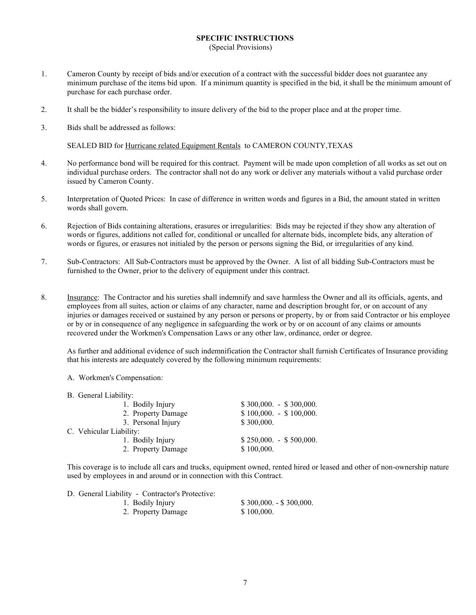#### **SPECIFIC INSTRUCTIONS** (Special Provisions)

- 1. Cameron County by receipt of bids and/or execution of a contract with the successful bidder does not guarantee any minimum purchase of the items bid upon. If a minimum quantity is specified in the bid, it shall be the minimum amount of purchase for each purchase order.
- 2. It shall be the bidder's responsibility to insure delivery of the bid to the proper place and at the proper time.
- 3. Bids shall be addressed as follows:

SEALED BID for Hurricane related Equipment Rentals to CAMERON COUNTY,TEXAS

- 4. No performance bond will be required for this contract. Payment will be made upon completion of all works as set out on individual purchase orders. The contractor shall not do any work or deliver any materials without a valid purchase order issued by Cameron County.
- 5. Interpretation of Quoted Prices: In case of difference in written words and figures in a Bid, the amount stated in written words shall govern.
- 6. Rejection of Bids containing alterations, erasures or irregularities: Bids may be rejected if they show any alteration of words or figures, additions not called for, conditional or uncalled for alternate bids, incomplete bids, any alteration of words or figures, or erasures not initialed by the person or persons signing the Bid, or irregularities of any kind.
- 7. Sub-Contractors: All Sub-Contractors must be approved by the Owner. A list of all bidding Sub-Contractors must be furnished to the Owner, prior to the delivery of equipment under this contract.
- 8. Insurance: The Contractor and his sureties shall indemnify and save harmless the Owner and all its officials, agents, and employees from all suites, action or claims of any character, name and description brought for, or on account of any injuries or damages received or sustained by any person or persons or property, by or from said Contractor or his employee or by or in consequence of any negligence in safeguarding the work or by or on account of any claims or amounts recovered under the Workmen's Compensation Laws or any other law, ordinance, order or degree.

As further and additional evidence of such indemnification the Contractor shall furnish Certificates of Insurance providing that his interests are adequately covered by the following minimum requirements:

- A. Workmen's Compensation:
- B. General Liability:

| 2. Property Damage      | $$100,000. - $100,000.$ |
|-------------------------|-------------------------|
|                         |                         |
| 3. Personal Injury      | \$300,000.              |
| C. Vehicular Liability: |                         |
| 1. Bodily Injury        | $$250,000. - $500,000.$ |
| 2. Property Damage      | \$100,000.              |
|                         |                         |

This coverage is to include all cars and trucks, equipment owned, rented hired or leased and other of non-ownership nature used by employees in and around or in connection with this Contract.

| D. General Liability - Contractor's Protective: |                         |
|-------------------------------------------------|-------------------------|
| 1. Bodily Injury                                | $$300,000. - $300,000.$ |
|                                                 |                         |

2. Property Damage \$ 100,000.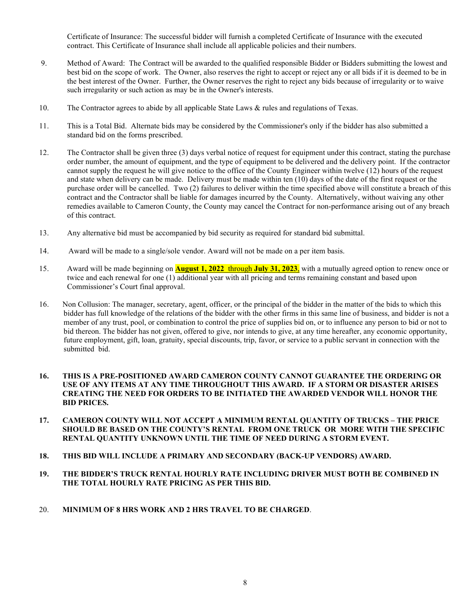Certificate of Insurance: The successful bidder will furnish a completed Certificate of Insurance with the executed contract. This Certificate of Insurance shall include all applicable policies and their numbers.

- 9. Method of Award: The Contract will be awarded to the qualified responsible Bidder or Bidders submitting the lowest and best bid on the scope of work. The Owner, also reserves the right to accept or reject any or all bids if it is deemed to be in the best interest of the Owner. Further, the Owner reserves the right to reject any bids because of irregularity or to waive such irregularity or such action as may be in the Owner's interests.
- 10. The Contractor agrees to abide by all applicable State Laws & rules and regulations of Texas.
- 11. This is a Total Bid. Alternate bids may be considered by the Commissioner's only if the bidder has also submitted a standard bid on the forms prescribed.
- 12. The Contractor shall be given three (3) days verbal notice of request for equipment under this contract, stating the purchase order number, the amount of equipment, and the type of equipment to be delivered and the delivery point. If the contractor cannot supply the request he will give notice to the office of the County Engineer within twelve (12) hours of the request and state when delivery can be made. Delivery must be made within ten (10) days of the date of the first request or the purchase order will be cancelled. Two (2) failures to deliver within the time specified above will constitute a breach of this contract and the Contractor shall be liable for damages incurred by the County. Alternatively, without waiving any other remedies available to Cameron County, the County may cancel the Contract for non-performance arising out of any breach of this contract.
- 13. Any alternative bid must be accompanied by bid security as required for standard bid submittal.
- 14. Award will be made to a single/sole vendor. Award will not be made on a per item basis.
- 15. Award will be made beginning on **August 1, 2022** through **July 31, 2023**, with a mutually agreed option to renew once or twice and each renewal for one (1) additional year with all pricing and terms remaining constant and based upon Commissioner's Court final approval.
- 16. Non Collusion: The manager, secretary, agent, officer, or the principal of the bidder in the matter of the bids to which this bidder has full knowledge of the relations of the bidder with the other firms in this same line of business, and bidder is not a member of any trust, pool, or combination to control the price of supplies bid on, or to influence any person to bid or not to bid thereon. The bidder has not given, offered to give, nor intends to give, at any time hereafter, any economic opportunity, future employment, gift, loan, gratuity, special discounts, trip, favor, or service to a public servant in connection with the submitted bid.

#### **16. THIS IS A PRE-POSITIONED AWARD CAMERON COUNTY CANNOT GUARANTEE THE ORDERING OR USE OF ANY ITEMS AT ANY TIME THROUGHOUT THIS AWARD. IF A STORM OR DISASTER ARISES CREATING THE NEED FOR ORDERS TO BE INITIATED THE AWARDED VENDOR WILL HONOR THE BID PRICES.**

- **17. CAMERON COUNTY WILL NOT ACCEPT A MINIMUM RENTAL QUANTITY OF TRUCKS THE PRICE SHOULD BE BASED ON THE COUNTY'S RENTAL FROM ONE TRUCK OR MORE WITH THE SPECIFIC RENTAL QUANTITY UNKNOWN UNTIL THE TIME OF NEED DURING A STORM EVENT.**
- **18. THIS BID WILL INCLUDE A PRIMARY AND SECONDARY (BACK-UP VENDORS) AWARD.**
- **19. THE BIDDER'S TRUCK RENTAL HOURLY RATE INCLUDING DRIVER MUST BOTH BE COMBINED IN THE TOTAL HOURLY RATE PRICING AS PER THIS BID.**
- 20. **MINIMUM OF 8 HRS WORK AND 2 HRS TRAVEL TO BE CHARGED**.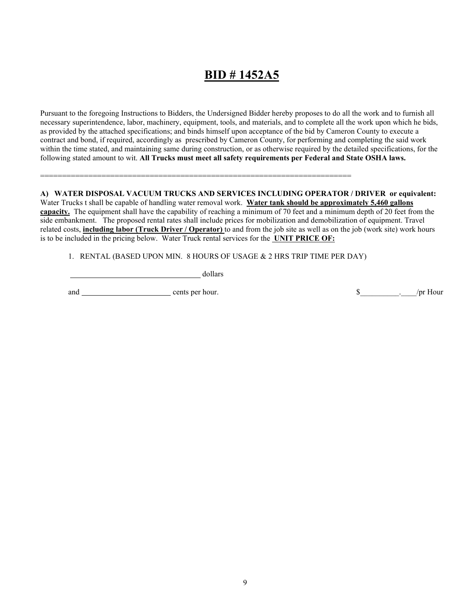# **BID # 1452A5**

Pursuant to the foregoing Instructions to Bidders, the Undersigned Bidder hereby proposes to do all the work and to furnish all necessary superintendence, labor, machinery, equipment, tools, and materials, and to complete all the work upon which he bids, as provided by the attached specifications; and binds himself upon acceptance of the bid by Cameron County to execute a contract and bond, if required, accordingly as prescribed by Cameron County, for performing and completing the said work within the time stated, and maintaining same during construction, or as otherwise required by the detailed specifications, for the following stated amount to wit. **All Trucks must meet all safety requirements per Federal and State OSHA laws.** 

### =======================================================================

#### **A) WATER DISPOSAL VACUUM TRUCKS AND SERVICES INCLUDING OPERATOR / DRIVER or equivalent:**  Water Trucks t shall be capable of handling water removal work. **Water tank should be approximately 5,460 gallons**

**capacity.** The equipment shall have the capability of reaching a minimum of 70 feet and a minimum depth of 20 feet from the side embankment. The proposed rental rates shall include prices for mobilization and demobilization of equipment. Travel related costs, **including labor (Truck Driver / Operator)** to and from the job site as well as on the job (work site) work hours is to be included in the pricing below. Water Truck rental services for the **UNIT PRICE OF:**

1. RENTAL (BASED UPON MIN. 8 HOURS OF USAGE & 2 HRS TRIP TIME PER DAY)

dollars

and cents per hour. \$\_\_\_\_\_\_\_\_\_\_.\_\_\_\_/pr Hour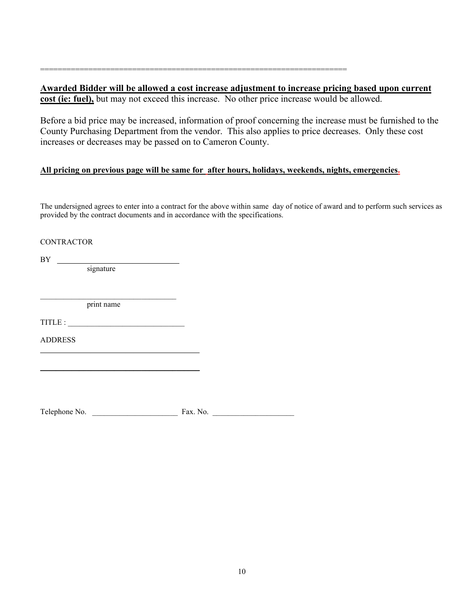**Awarded Bidder will be allowed a cost increase adjustment to increase pricing based upon current cost (ie: fuel),** but may not exceed this increase. No other price increase would be allowed.

Before a bid price may be increased, information of proof concerning the increase must be furnished to the County Purchasing Department from the vendor. This also applies to price decreases. Only these cost increases or decreases may be passed on to Cameron County.

### **All pricing on previous page will be same for after hours, holidays, weekends, nights, emergencies.**

======================================================================

The undersigned agrees to enter into a contract for the above within same day of notice of award and to perform such services as provided by the contract documents and in accordance with the specifications.

#### **CONTRACTOR**

 $BY \tightharpoonup$ 

signature

 $\mathcal{L}_\mathcal{L}$  , and the set of the set of the set of the set of the set of the set of the set of the set of the set of the set of the set of the set of the set of the set of the set of the set of the set of the set of th print name

TITLE :

\_\_\_\_\_\_\_\_\_\_\_\_\_\_\_\_\_\_\_\_\_\_\_\_\_\_\_\_\_\_\_\_\_\_\_\_\_\_\_\_\_

 $\frac{1}{2}$  ,  $\frac{1}{2}$  ,  $\frac{1}{2}$  ,  $\frac{1}{2}$  ,  $\frac{1}{2}$  ,  $\frac{1}{2}$  ,  $\frac{1}{2}$  ,  $\frac{1}{2}$  ,  $\frac{1}{2}$  ,  $\frac{1}{2}$  ,  $\frac{1}{2}$  ,  $\frac{1}{2}$  ,  $\frac{1}{2}$  ,  $\frac{1}{2}$  ,  $\frac{1}{2}$  ,  $\frac{1}{2}$  ,  $\frac{1}{2}$  ,  $\frac{1}{2}$  ,  $\frac{1$ 

ADDRESS

Telephone No. \_\_\_\_\_\_\_\_\_\_\_\_\_\_\_\_\_\_\_\_\_\_ Fax. No. \_\_\_\_\_\_\_\_\_\_\_\_\_\_\_\_\_\_\_\_\_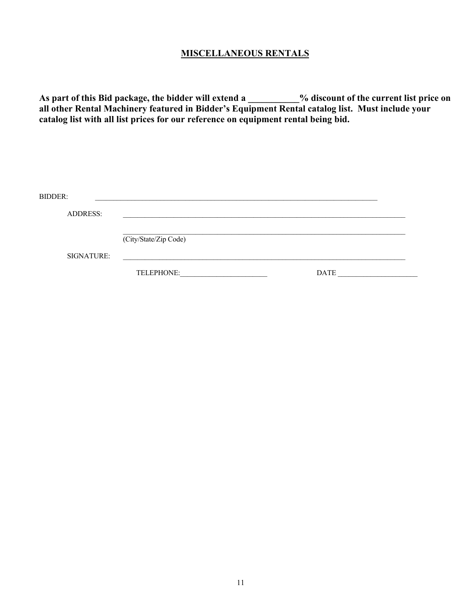### **MISCELLANEOUS RENTALS**

**As part of this Bid package, the bidder will extend a \_\_\_\_\_\_\_\_\_\_\_% discount of the current list price on all other Rental Machinery featured in Bidder's Equipment Rental catalog list. Must include your catalog list with all list prices for our reference on equipment rental being bid.** 

| BIDDER:         |                       |             |  |
|-----------------|-----------------------|-------------|--|
| <b>ADDRESS:</b> |                       |             |  |
|                 | (City/State/Zip Code) |             |  |
| SIGNATURE:      | TELEPHONE:            | <b>DATE</b> |  |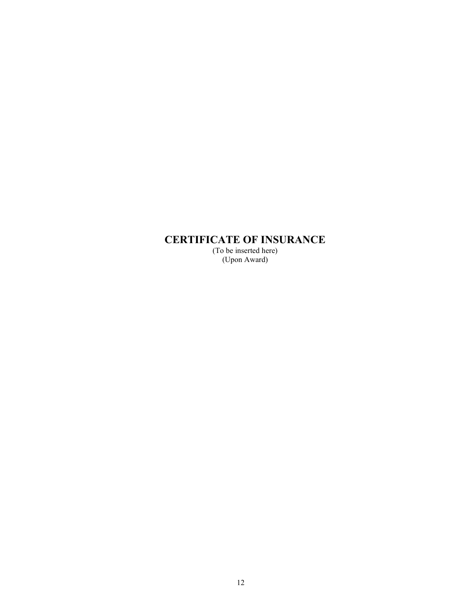# **CERTIFICATE OF INSURANCE**

(To be inserted here) (Upon Award)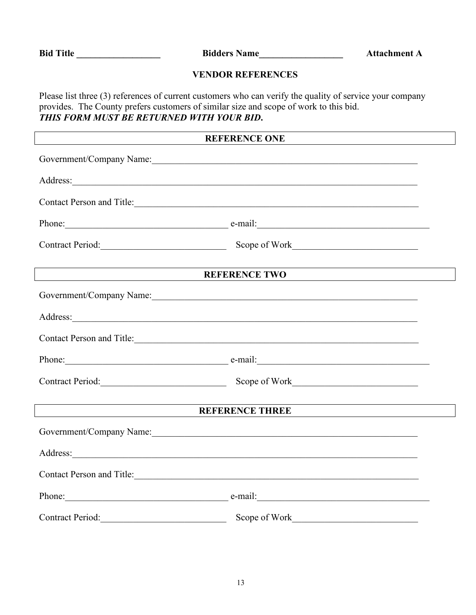Bid Title \_\_\_\_\_\_\_\_\_\_\_\_\_\_\_\_\_\_\_\_\_\_ Bidders Name\_\_\_\_\_\_\_\_\_\_\_\_\_\_\_\_\_\_\_\_\_\_ Attachment A

### **VENDOR REFERENCES**

Please list three (3) references of current customers who can verify the quality of service your company provides. The County prefers customers of similar size and scope of work to this bid. *THIS FORM MUST BE RETURNED WITH YOUR BID***.** 

### **REFERENCE ONE**

| Government/Company Name:                                                                                                                                                                                                             |                                                    |  |
|--------------------------------------------------------------------------------------------------------------------------------------------------------------------------------------------------------------------------------------|----------------------------------------------------|--|
| Address: <u>and the second contract of the second contract of the second contract of the second contract of the second contract of the second contract of the second contract of the second contract of the second contract of t</u> |                                                    |  |
| Contact Person and Title:                                                                                                                                                                                                            |                                                    |  |
|                                                                                                                                                                                                                                      | Phone: e-mail: e-mail:                             |  |
|                                                                                                                                                                                                                                      | Contract Period: Scope of Work Contract Period:    |  |
|                                                                                                                                                                                                                                      | <b>REFERENCE TWO</b>                               |  |
|                                                                                                                                                                                                                                      | Government/Company Name:                           |  |
|                                                                                                                                                                                                                                      |                                                    |  |
|                                                                                                                                                                                                                                      | Contact Person and Title:                          |  |
|                                                                                                                                                                                                                                      | Phone: e-mail: e-mail:                             |  |
|                                                                                                                                                                                                                                      | Contract Period: Scope of Work Contract Period:    |  |
| <b>REFERENCE THREE</b>                                                                                                                                                                                                               |                                                    |  |
|                                                                                                                                                                                                                                      | Government/Company Name: Calculation Company Name: |  |
|                                                                                                                                                                                                                                      |                                                    |  |
| Contact Person and Title: 1988 and Title 2008 and Title 2008 and Title 2008 and 2008 and 2008 and 2008 and 2008 and 2008 and 2008 and 2008 and 2008 and 2008 and 2008 and 2008 and 2008 and 2008 and 2008 and 2008 and 2008 an       |                                                    |  |
|                                                                                                                                                                                                                                      | Phone: e-mail: e-mail:                             |  |
|                                                                                                                                                                                                                                      | Contract Period: Scope of Work Contract Period:    |  |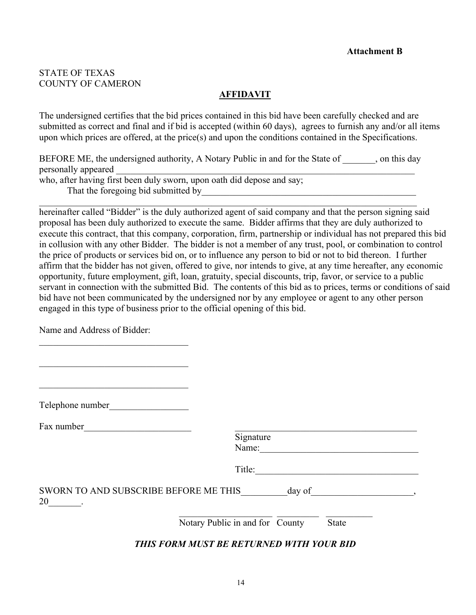### STATE OF TEXAS COUNTY OF CAMERON

### **AFFIDAVIT**

The undersigned certifies that the bid prices contained in this bid have been carefully checked and are submitted as correct and final and if bid is accepted (within 60 days), agrees to furnish any and/or all items upon which prices are offered, at the price(s) and upon the conditions contained in the Specifications.

BEFORE ME, the undersigned authority, A Notary Public in and for the State of , on this day personally appeared who, after having first been duly sworn, upon oath did depose and say; That the foregoing bid submitted by

\_\_\_\_\_\_\_\_\_\_\_\_\_\_\_\_\_\_\_\_\_\_\_\_\_\_\_\_\_\_\_\_\_\_\_\_\_\_\_\_\_\_\_\_\_\_\_\_\_\_\_\_\_\_\_\_\_\_\_\_\_\_\_\_\_\_\_\_\_\_\_\_\_\_\_\_\_\_\_\_\_

hereinafter called "Bidder" is the duly authorized agent of said company and that the person signing said proposal has been duly authorized to execute the same. Bidder affirms that they are duly authorized to execute this contract, that this company, corporation, firm, partnership or individual has not prepared this bid in collusion with any other Bidder. The bidder is not a member of any trust, pool, or combination to control the price of products or services bid on, or to influence any person to bid or not to bid thereon. I further affirm that the bidder has not given, offered to give, nor intends to give, at any time hereafter, any economic opportunity, future employment, gift, loan, gratuity, special discounts, trip, favor, or service to a public servant in connection with the submitted Bid. The contents of this bid as to prices, terms or conditions of said bid have not been communicated by the undersigned nor by any employee or agent to any other person engaged in this type of business prior to the official opening of this bid.

Name and Address of Bidder:

\_\_\_\_\_\_\_\_\_\_\_\_\_\_\_\_\_\_\_\_\_\_\_\_\_\_\_\_\_\_\_\_

| Telephone number                            |                                          |
|---------------------------------------------|------------------------------------------|
| Fax number                                  | Signature                                |
|                                             | Name:<br>Title:                          |
| SWORN TO AND SUBSCRIBE BEFORE ME THIS<br>20 | day of                                   |
|                                             | Notary Public in and for County<br>State |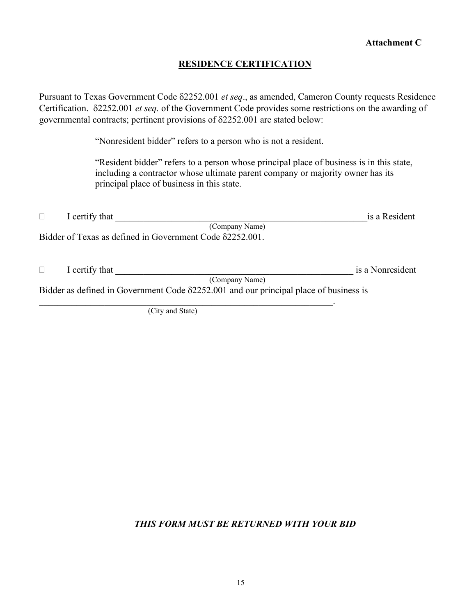### **RESIDENCE CERTIFICATION**

Pursuant to Texas Government Code δ2252.001 *et seq*., as amended, Cameron County requests Residence Certification. δ2252.001 *et seq.* of the Government Code provides some restrictions on the awarding of governmental contracts; pertinent provisions of δ2252.001 are stated below:

"Nonresident bidder" refers to a person who is not a resident.

"Resident bidder" refers to a person whose principal place of business is in this state, including a contractor whose ultimate parent company or majority owner has its principal place of business in this state.

| I certify that                                                                                | is a Resident    |
|-----------------------------------------------------------------------------------------------|------------------|
| (Company Name)                                                                                |                  |
| Bidder of Texas as defined in Government Code $\delta$ 2252.001.                              |                  |
|                                                                                               |                  |
|                                                                                               |                  |
| I certify that                                                                                | is a Nonresident |
| (Company Name)                                                                                |                  |
| Bidder as defined in Government Code $\delta$ 2252.001 and our principal place of business is |                  |
|                                                                                               |                  |

(City and State)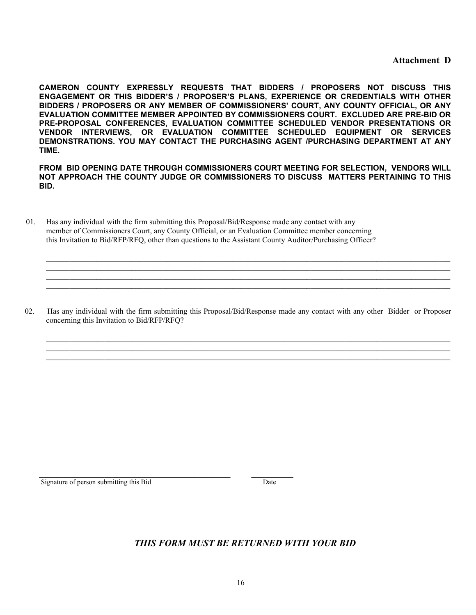**Attachment D**

**CAMERON COUNTY EXPRESSLY REQUESTS THAT BIDDERS / PROPOSERS NOT DISCUSS THIS ENGAGEMENT OR THIS BIDDER'S / PROPOSER'S PLANS, EXPERIENCE OR CREDENTIALS WITH OTHER BIDDERS / PROPOSERS OR ANY MEMBER OF COMMISSIONERS' COURT, ANY COUNTY OFFICIAL, OR ANY EVALUATION COMMITTEE MEMBER APPOINTED BY COMMISSIONERS COURT. EXCLUDED ARE PRE-BID OR PRE-PROPOSAL CONFERENCES, EVALUATION COMMITTEE SCHEDULED VENDOR PRESENTATIONS OR VENDOR INTERVIEWS, OR EVALUATION COMMITTEE SCHEDULED EQUIPMENT OR SERVICES DEMONSTRATIONS. YOU MAY CONTACT THE PURCHASING AGENT /PURCHASING DEPARTMENT AT ANY TIME.**

**FROM BID OPENING DATE THROUGH COMMISSIONERS COURT MEETING FOR SELECTION, VENDORS WILL NOT APPROACH THE COUNTY JUDGE OR COMMISSIONERS TO DISCUSS MATTERS PERTAINING TO THIS BID.**

\_\_\_\_\_\_\_\_\_\_\_\_\_\_\_\_\_\_\_\_\_\_\_\_\_\_\_\_\_\_\_\_\_\_\_\_\_\_\_\_\_\_\_\_\_\_\_\_\_\_\_\_\_\_\_\_\_\_\_\_\_\_\_\_\_\_\_\_\_\_\_\_\_\_\_\_\_\_\_\_\_\_\_\_\_\_\_\_\_\_\_\_\_\_\_\_\_\_\_\_\_\_\_\_ \_\_\_\_\_\_\_\_\_\_\_\_\_\_\_\_\_\_\_\_\_\_\_\_\_\_\_\_\_\_\_\_\_\_\_\_\_\_\_\_\_\_\_\_\_\_\_\_\_\_\_\_\_\_\_\_\_\_\_\_\_\_\_\_\_\_\_\_\_\_\_\_\_\_\_\_\_\_\_\_\_\_\_\_\_\_\_\_\_\_\_\_\_\_\_\_\_\_\_\_\_\_\_\_ \_\_\_\_\_\_\_\_\_\_\_\_\_\_\_\_\_\_\_\_\_\_\_\_\_\_\_\_\_\_\_\_\_\_\_\_\_\_\_\_\_\_\_\_\_\_\_\_\_\_\_\_\_\_\_\_\_\_\_\_\_\_\_\_\_\_\_\_\_\_\_\_\_\_\_\_\_\_\_\_\_\_\_\_\_\_\_\_\_\_\_\_\_\_\_\_\_\_\_\_\_\_\_\_  $\mathcal{L}_\mathcal{L} = \{ \mathcal{L}_\mathcal{L} = \{ \mathcal{L}_\mathcal{L} = \{ \mathcal{L}_\mathcal{L} = \{ \mathcal{L}_\mathcal{L} = \{ \mathcal{L}_\mathcal{L} = \{ \mathcal{L}_\mathcal{L} = \{ \mathcal{L}_\mathcal{L} = \{ \mathcal{L}_\mathcal{L} = \{ \mathcal{L}_\mathcal{L} = \{ \mathcal{L}_\mathcal{L} = \{ \mathcal{L}_\mathcal{L} = \{ \mathcal{L}_\mathcal{L} = \{ \mathcal{L}_\mathcal{L} = \{ \mathcal{L}_\mathcal{$ 

 01. Has any individual with the firm submitting this Proposal/Bid/Response made any contact with any member of Commissioners Court, any County Official, or an Evaluation Committee member concerning this Invitation to Bid/RFP/RFQ, other than questions to the Assistant County Auditor/Purchasing Officer?

 02. Has any individual with the firm submitting this Proposal/Bid/Response made any contact with any other Bidder or Proposer concerning this Invitation to Bid/RFP/RFQ?

 $\mathcal{L}_\mathcal{L} = \mathcal{L}_\mathcal{L} = \mathcal{L}_\mathcal{L} = \mathcal{L}_\mathcal{L} = \mathcal{L}_\mathcal{L} = \mathcal{L}_\mathcal{L} = \mathcal{L}_\mathcal{L} = \mathcal{L}_\mathcal{L} = \mathcal{L}_\mathcal{L} = \mathcal{L}_\mathcal{L} = \mathcal{L}_\mathcal{L} = \mathcal{L}_\mathcal{L} = \mathcal{L}_\mathcal{L} = \mathcal{L}_\mathcal{L} = \mathcal{L}_\mathcal{L} = \mathcal{L}_\mathcal{L} = \mathcal{L}_\mathcal{L}$  $\mathcal{L}_\mathcal{L} = \mathcal{L}_\mathcal{L} = \mathcal{L}_\mathcal{L} = \mathcal{L}_\mathcal{L} = \mathcal{L}_\mathcal{L} = \mathcal{L}_\mathcal{L} = \mathcal{L}_\mathcal{L} = \mathcal{L}_\mathcal{L} = \mathcal{L}_\mathcal{L} = \mathcal{L}_\mathcal{L} = \mathcal{L}_\mathcal{L} = \mathcal{L}_\mathcal{L} = \mathcal{L}_\mathcal{L} = \mathcal{L}_\mathcal{L} = \mathcal{L}_\mathcal{L} = \mathcal{L}_\mathcal{L} = \mathcal{L}_\mathcal{L}$ \_\_\_\_\_\_\_\_\_\_\_\_\_\_\_\_\_\_\_\_\_\_\_\_\_\_\_\_\_\_\_\_\_\_\_\_\_\_\_\_\_\_\_\_\_\_\_\_\_\_\_\_\_\_\_\_\_\_\_\_\_\_\_\_\_\_\_\_\_\_\_\_\_\_\_\_\_\_\_\_\_\_\_\_\_\_\_\_\_\_\_\_\_\_\_\_\_\_\_\_\_\_\_\_

Signature of person submitting this Bid Date

 $\mathcal{L}_\mathcal{L} = \{ \mathcal{L}_\mathcal{L} = \mathcal{L}_\mathcal{L} \}$  , where  $\mathcal{L}_\mathcal{L} = \{ \mathcal{L}_\mathcal{L} = \mathcal{L}_\mathcal{L} \}$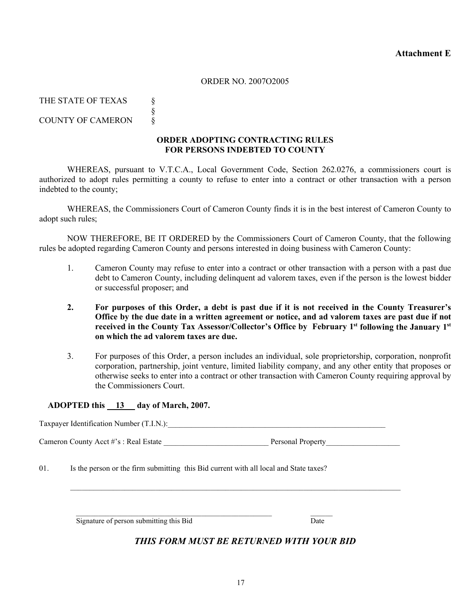### ORDER NO. 2007O2005

THE STATE OF TEXAS § §

COUNTY OF CAMERON  $\&$ 

### **ORDER ADOPTING CONTRACTING RULES FOR PERSONS INDEBTED TO COUNTY**

WHEREAS, pursuant to V.T.C.A., Local Government Code, Section 262.0276, a commissioners court is authorized to adopt rules permitting a county to refuse to enter into a contract or other transaction with a person indebted to the county;

WHEREAS, the Commissioners Court of Cameron County finds it is in the best interest of Cameron County to adopt such rules;

NOW THEREFORE, BE IT ORDERED by the Commissioners Court of Cameron County, that the following rules be adopted regarding Cameron County and persons interested in doing business with Cameron County:

- 1. Cameron County may refuse to enter into a contract or other transaction with a person with a past due debt to Cameron County, including delinquent ad valorem taxes, even if the person is the lowest bidder or successful proposer; and
- **2. For purposes of this Order, a debt is past due if it is not received in the County Treasurer's Office by the due date in a written agreement or notice, and ad valorem taxes are past due if not received in the County Tax Assessor/Collector's Office by February 1st following the January 1st on which the ad valorem taxes are due.**
- 3. For purposes of this Order, a person includes an individual, sole proprietorship, corporation, nonprofit corporation, partnership, joint venture, limited liability company, and any other entity that proposes or otherwise seeks to enter into a contract or other transaction with Cameron County requiring approval by the Commissioners Court.

### **ADOPTED this 13 day of March, 2007.**

Taxpayer Identification Number (T.I.N.):

Cameron County Acct #'s : Real Estate \_\_\_\_\_\_\_\_\_\_\_\_\_\_\_\_\_\_\_\_\_\_\_\_\_\_\_ Personal Property\_\_\_\_\_\_\_\_\_\_\_\_\_\_\_\_\_\_\_

 $\mathcal{L}_\mathcal{L} = \mathcal{L}_\mathcal{L} = \mathcal{L}_\mathcal{L} = \mathcal{L}_\mathcal{L} = \mathcal{L}_\mathcal{L} = \mathcal{L}_\mathcal{L} = \mathcal{L}_\mathcal{L} = \mathcal{L}_\mathcal{L} = \mathcal{L}_\mathcal{L} = \mathcal{L}_\mathcal{L} = \mathcal{L}_\mathcal{L} = \mathcal{L}_\mathcal{L} = \mathcal{L}_\mathcal{L} = \mathcal{L}_\mathcal{L} = \mathcal{L}_\mathcal{L} = \mathcal{L}_\mathcal{L} = \mathcal{L}_\mathcal{L}$ 

01. Is the person or the firm submitting this Bid current with all local and State taxes?

Signature of person submitting this Bid Date

 $\mathcal{L}_\text{max} = \frac{1}{2} \sum_{i=1}^{n} \frac{1}{2} \sum_{i=1}^{n} \frac{1}{2} \sum_{i=1}^{n} \frac{1}{2} \sum_{i=1}^{n} \frac{1}{2} \sum_{i=1}^{n} \frac{1}{2} \sum_{i=1}^{n} \frac{1}{2} \sum_{i=1}^{n} \frac{1}{2} \sum_{i=1}^{n} \frac{1}{2} \sum_{i=1}^{n} \frac{1}{2} \sum_{i=1}^{n} \frac{1}{2} \sum_{i=1}^{n} \frac{1}{2} \sum_{i=1}^{n} \frac{1$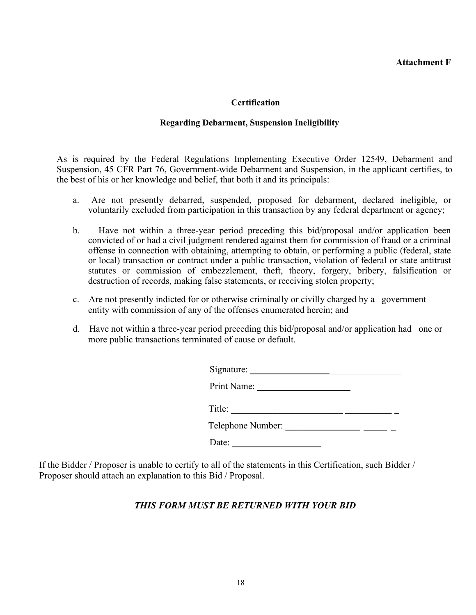### **Certification**

### **Regarding Debarment, Suspension Ineligibility**

As is required by the Federal Regulations Implementing Executive Order 12549, Debarment and Suspension, 45 CFR Part 76, Government-wide Debarment and Suspension, in the applicant certifies, to the best of his or her knowledge and belief, that both it and its principals:

- a. Are not presently debarred, suspended, proposed for debarment, declared ineligible, or voluntarily excluded from participation in this transaction by any federal department or agency;
- b. Have not within a three-year period preceding this bid/proposal and/or application been convicted of or had a civil judgment rendered against them for commission of fraud or a criminal offense in connection with obtaining, attempting to obtain, or performing a public (federal, state or local) transaction or contract under a public transaction, violation of federal or state antitrust statutes or commission of embezzlement, theft, theory, forgery, bribery, falsification or destruction of records, making false statements, or receiving stolen property;
- c. Are not presently indicted for or otherwise criminally or civilly charged by a government entity with commission of any of the offenses enumerated herein; and
- d. Have not within a three-year period preceding this bid/proposal and/or application had one or more public transactions terminated of cause or default.

| Signature:        |  |  |
|-------------------|--|--|
| Print Name:       |  |  |
| Title:            |  |  |
| Telephone Number: |  |  |
| Date:             |  |  |
|                   |  |  |

If the Bidder / Proposer is unable to certify to all of the statements in this Certification, such Bidder / Proposer should attach an explanation to this Bid / Proposal.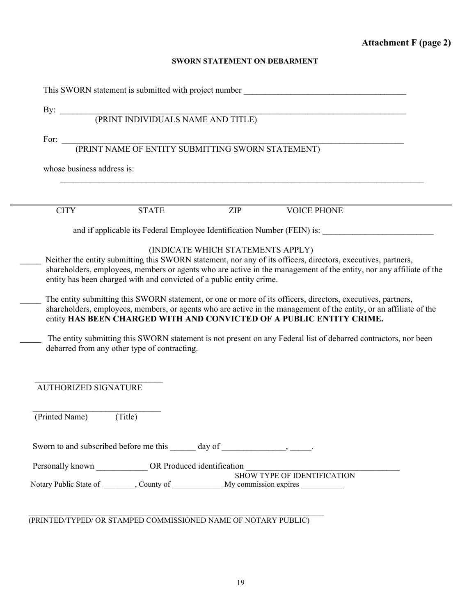### **SWORN STATEMENT ON DEBARMENT**

|                             | This SWORN statement is submitted with project number ___________________________            |                                   |                                                                                                                                                                                            |  |
|-----------------------------|----------------------------------------------------------------------------------------------|-----------------------------------|--------------------------------------------------------------------------------------------------------------------------------------------------------------------------------------------|--|
|                             |                                                                                              |                                   |                                                                                                                                                                                            |  |
|                             |                                                                                              |                                   |                                                                                                                                                                                            |  |
|                             |                                                                                              |                                   |                                                                                                                                                                                            |  |
|                             | For: $\fbox{\textup{CPRINT}}$ NAME OF ENTITY SUBMITTING SWORN STATEMENT)                     |                                   |                                                                                                                                                                                            |  |
| whose business address is:  |                                                                                              |                                   |                                                                                                                                                                                            |  |
|                             |                                                                                              |                                   |                                                                                                                                                                                            |  |
|                             |                                                                                              |                                   |                                                                                                                                                                                            |  |
| <b>CITY</b>                 | <b>STATE</b>                                                                                 | ZIP                               | <b>VOICE PHONE</b>                                                                                                                                                                         |  |
|                             |                                                                                              |                                   | and if applicable its Federal Employee Identification Number (FEIN) is:                                                                                                                    |  |
|                             |                                                                                              |                                   |                                                                                                                                                                                            |  |
|                             |                                                                                              | (INDICATE WHICH STATEMENTS APPLY) | Neither the entity submitting this SWORN statement, nor any of its officers, directors, executives, partners,                                                                              |  |
|                             |                                                                                              |                                   |                                                                                                                                                                                            |  |
|                             |                                                                                              |                                   |                                                                                                                                                                                            |  |
|                             |                                                                                              |                                   | shareholders, employees, members or agents who are active in the management of the entity, nor any affiliate of the                                                                        |  |
|                             | entity has been charged with and convicted of a public entity crime.                         |                                   |                                                                                                                                                                                            |  |
|                             |                                                                                              |                                   |                                                                                                                                                                                            |  |
|                             |                                                                                              |                                   | The entity submitting this SWORN statement, or one or more of its officers, directors, executives, partners,                                                                               |  |
|                             |                                                                                              |                                   | shareholders, employees, members, or agents who are active in the management of the entity, or an affiliate of the<br>entity HAS BEEN CHARGED WITH AND CONVICTED OF A PUBLIC ENTITY CRIME. |  |
|                             |                                                                                              |                                   |                                                                                                                                                                                            |  |
|                             |                                                                                              |                                   | The entity submitting this SWORN statement is not present on any Federal list of debarred contractors, nor been                                                                            |  |
|                             | debarred from any other type of contracting.                                                 |                                   |                                                                                                                                                                                            |  |
|                             |                                                                                              |                                   |                                                                                                                                                                                            |  |
|                             |                                                                                              |                                   |                                                                                                                                                                                            |  |
|                             |                                                                                              |                                   |                                                                                                                                                                                            |  |
| <b>AUTHORIZED SIGNATURE</b> |                                                                                              |                                   |                                                                                                                                                                                            |  |
|                             |                                                                                              |                                   |                                                                                                                                                                                            |  |
| (Printed Name)              | (Title)                                                                                      |                                   |                                                                                                                                                                                            |  |
|                             |                                                                                              |                                   |                                                                                                                                                                                            |  |
|                             |                                                                                              |                                   |                                                                                                                                                                                            |  |
|                             |                                                                                              |                                   |                                                                                                                                                                                            |  |
|                             |                                                                                              |                                   |                                                                                                                                                                                            |  |
|                             | Personally known _______________ OR Produced identification                                  |                                   |                                                                                                                                                                                            |  |
|                             | Notary Public State of ________, County of ______________ My commission expires ____________ |                                   | SHOW TYPE OF IDENTIFICATION                                                                                                                                                                |  |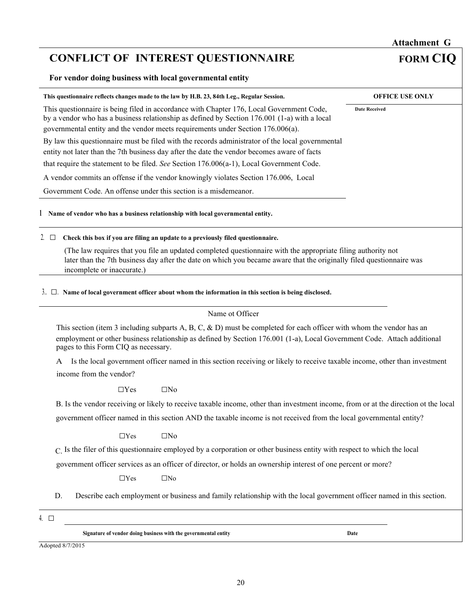# **CONFLICT OF INTEREST QUESTIONNAIRE FORM CIQ**

**For vendor doing business with local governmental entity** 

| This questionnaire reflects changes made to the law by H.B. 23, 84th Leg., Regular Session.                                                                                                                                                                                             | <b>OFFICE USE ONLY</b> |
|-----------------------------------------------------------------------------------------------------------------------------------------------------------------------------------------------------------------------------------------------------------------------------------------|------------------------|
| This questionnaire is being filed in accordance with Chapter 176, Local Government Code,<br>by a vendor who has a business relationship as defined by Section $176.001$ (1-a) with a local<br>governmental entity and the vendor meets requirements under Section 176.006(a).           | <b>Date Received</b>   |
| By law this questionnaire must be filed with the records administrator of the local governmental                                                                                                                                                                                        |                        |
| entity not later than the 7th business day after the date the vendor becomes aware of facts                                                                                                                                                                                             |                        |
| that require the statement to be filed. See Section 176.006(a-1), Local Government Code.                                                                                                                                                                                                |                        |
| A vendor commits an offense if the vendor knowingly violates Section 176.006, Local                                                                                                                                                                                                     |                        |
| Government Code. An offense under this section is a misdemeanor.                                                                                                                                                                                                                        |                        |
| 1 Name of vendor who has a business relationship with local governmental entity.                                                                                                                                                                                                        |                        |
| Check this box if you are filing an update to a previously filed questionnaire.<br>$2. \square$                                                                                                                                                                                         |                        |
| (The law requires that you file an updated completed questionnaire with the appropriate filing authority not<br>later than the 7th business day after the date on which you became aware that the originally filed questionnaire was<br>incomplete or inaccurate.)                      |                        |
| $3.$ $\Box$ Name of local government officer about whom the information in this section is being disclosed.                                                                                                                                                                             |                        |
|                                                                                                                                                                                                                                                                                         |                        |
| Name ot Officer                                                                                                                                                                                                                                                                         |                        |
| This section (item 3 including subparts A, B, C, & D) must be completed for each officer with whom the vendor has an<br>employment or other business relationship as defined by Section 176.001 (1-a), Local Government Code. Attach additional<br>pages to this Form CIQ as necessary. |                        |
| Is the local government officer named in this section receiving or likely to receive taxable income, other than investment<br>А                                                                                                                                                         |                        |
| income from the vendor?                                                                                                                                                                                                                                                                 |                        |
| $\Box$ No<br>$\Box$ Yes                                                                                                                                                                                                                                                                 |                        |
|                                                                                                                                                                                                                                                                                         |                        |
| B. Is the vendor receiving or likely to receive taxable income, other than investment income, from or at the direction ot the local                                                                                                                                                     |                        |
| government officer named in this section AND the taxable income is not received from the local governmental entity?                                                                                                                                                                     |                        |
| $\Box$ No<br>$\Box$ Yes                                                                                                                                                                                                                                                                 |                        |
| C. Is the filer of this questionnaire employed by a corporation or other business entity with respect to which the local                                                                                                                                                                |                        |
| government officer services as an officer of director, or holds an ownership interest of one percent or more?                                                                                                                                                                           |                        |
| $\Box$ Yes<br>$\square$ No                                                                                                                                                                                                                                                              |                        |
| D.<br>Describe each employment or business and family relationship with the local government officer named in this section.                                                                                                                                                             |                        |
| 4. $\Box$                                                                                                                                                                                                                                                                               |                        |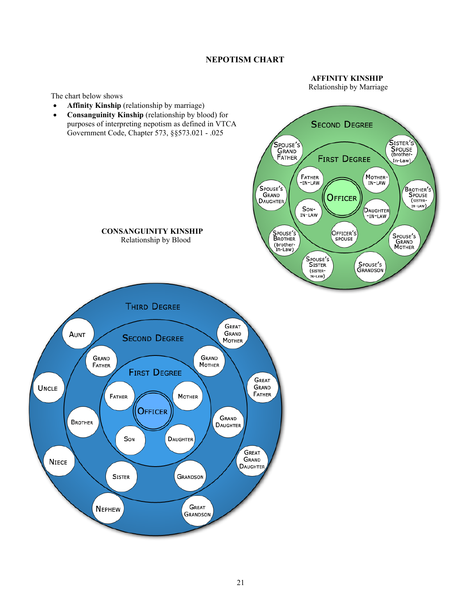### **NEPOTISM CHART**

 **AFFINITY KINSHIP**

Relationship by Marriage

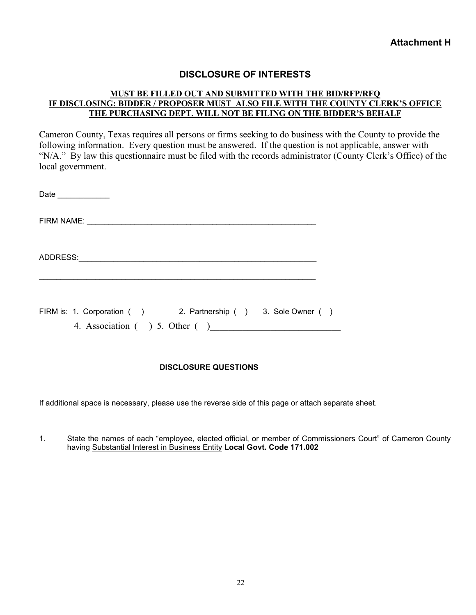### **DISCLOSURE OF INTERESTS**

### **MUST BE FILLED OUT AND SUBMITTED WITH THE BID/RFP/RFQ IF DISCLOSING: BIDDER / PROPOSER MUST ALSO FILE WITH THE COUNTY CLERK'S OFFICE THE PURCHASING DEPT. WILL NOT BE FILING ON THE BIDDER'S BEHALF**

Cameron County, Texas requires all persons or firms seeking to do business with the County to provide the following information. Every question must be answered. If the question is not applicable, answer with "N/A." By law this questionnaire must be filed with the records administrator (County Clerk's Office) of the local government.

| Date ___________                                                                                 |  |
|--------------------------------------------------------------------------------------------------|--|
|                                                                                                  |  |
| ADDRESS: ADDRESS:                                                                                |  |
| FIRM is: 1. Corporation () 2. Partnership () 3. Sole Owner ()<br>4. Association ( ) 5. Other ( ) |  |

### **DISCLOSURE QUESTIONS**

If additional space is necessary, please use the reverse side of this page or attach separate sheet.

1. State the names of each "employee, elected official, or member of Commissioners Court" of Cameron County having Substantial Interest in Business Entity **Local Govt. Code 171.002**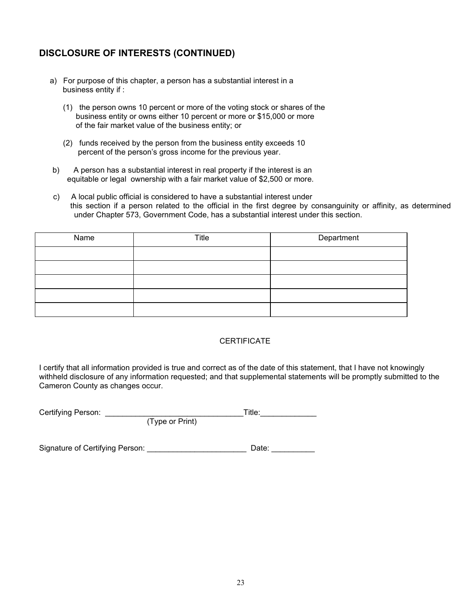## **DISCLOSURE OF INTERESTS (CONTINUED)**

- a) For purpose of this chapter, a person has a substantial interest in a business entity if :
	- (1) the person owns 10 percent or more of the voting stock or shares of the business entity or owns either 10 percent or more or \$15,000 or more of the fair market value of the business entity; or
	- (2) funds received by the person from the business entity exceeds 10 percent of the person's gross income for the previous year.
- b) A person has a substantial interest in real property if the interest is an equitable or legal ownership with a fair market value of \$2,500 or more.
- c) A local public official is considered to have a substantial interest under this section if a person related to the official in the first degree by consanguinity or affinity, as determined under Chapter 573, Government Code, has a substantial interest under this section.

| Name | Title | Department |
|------|-------|------------|
|      |       |            |
|      |       |            |
|      |       |            |
|      |       |            |
|      |       |            |

### **CERTIFICATE**

I certify that all information provided is true and correct as of the date of this statement, that I have not knowingly withheld disclosure of any information requested; and that supplemental statements will be promptly submitted to the Cameron County as changes occur.

| Certifying Person: |                 | ™itle: |
|--------------------|-----------------|--------|
|                    | (Type or Print) |        |

Signature of Certifying Person: example and the Date: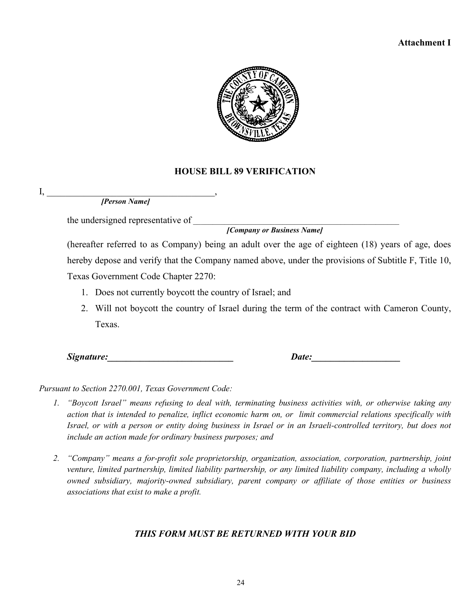### **Attachment I**



### **HOUSE BILL 89 VERIFICATION**

 $\mathrm{I}, \_\_\_\_\_\$ *[Person Name]*

the undersigned representative of \_\_\_\_\_\_\_\_\_\_\_\_\_\_\_\_\_\_\_\_\_\_\_\_\_\_\_\_\_\_\_\_\_\_\_\_\_\_\_\_\_\_\_\_\_\_\_\_\_\_\_\_\_

*[Company or Business Name]*

(hereafter referred to as Company) being an adult over the age of eighteen (18) years of age, does hereby depose and verify that the Company named above, under the provisions of Subtitle F, Title 10, Texas Government Code Chapter 2270:

1. Does not currently boycott the country of Israel; and

2. Will not boycott the country of Israel during the term of the contract with Cameron County, Texas.

*Signature:*  $\qquad \qquad \qquad$  *Date:* 

*Pursuant to Section 2270.001, Texas Government Code:* 

- *1. "Boycott Israel" means refusing to deal with, terminating business activities with, or otherwise taking any action that is intended to penalize, inflict economic harm on, or limit commercial relations specifically with Israel, or with a person or entity doing business in Israel or in an Israeli-controlled territory, but does not include an action made for ordinary business purposes; and*
- *2. "Company" means a for-profit sole proprietorship, organization, association, corporation, partnership, joint venture, limited partnership, limited liability partnership, or any limited liability company, including a wholly owned subsidiary, majority-owned subsidiary, parent company or affiliate of those entities or business associations that exist to make a profit.*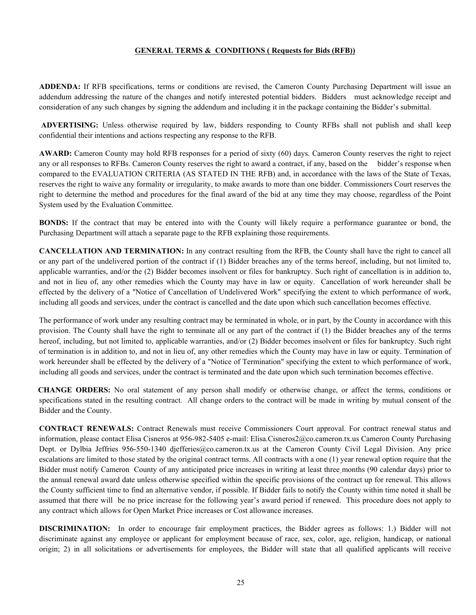#### **GENERAL TERMS & CONDITIONS ( Requests for Bids (RFB))**

**ADDENDA:** If RFB specifications, terms or conditions are revised, the Cameron County Purchasing Department will issue an addendum addressing the nature of the changes and notify interested potential bidders. Bidders must acknowledge receipt and consideration of any such changes by signing the addendum and including it in the package containing the Bidder's submittal.

**ADVERTISING:** Unless otherwise required by law, bidders responding to County RFBs shall not publish and shall keep confidential their intentions and actions respecting any response to the RFB.

**AWARD:** Cameron County may hold RFB responses for a period of sixty (60) days. Cameron County reserves the right to reject any or all responses to RFBs. Cameron County reserves the right to award a contract, if any, based on the bidder's response when compared to the EVALUATION CRITERIA (AS STATED IN THE RFB) and, in accordance with the laws of the State of Texas, reserves the right to waive any formality or irregularity, to make awards to more than one bidder. Commissioners Court reserves the right to determine the method and procedures for the final award of the bid at any time they may choose, regardless of the Point System used by the Evaluation Committee.

**BONDS:** If the contract that may be entered into with the County will likely require a performance guarantee or bond, the Purchasing Department will attach a separate page to the RFB explaining those requirements.

**CANCELLATION AND TERMINATION:** In any contract resulting from the RFB, the County shall have the right to cancel all or any part of the undelivered portion of the contract if (1) Bidder breaches any of the terms hereof, including, but not limited to, applicable warranties, and/or the (2) Bidder becomes insolvent or files for bankruptcy. Such right of cancellation is in addition to, and not in lieu of, any other remedies which the County may have in law or equity. Cancellation of work hereunder shall be effected by the delivery of a "Notice of Cancellation of Undelivered Work" specifying the extent to which performance of work, including all goods and services, under the contract is cancelled and the date upon which such cancellation becomes effective.

The performance of work under any resulting contract may be terminated in whole, or in part, by the County in accordance with this provision. The County shall have the right to terminate all or any part of the contract if (1) the Bidder breaches any of the terms hereof, including, but not limited to, applicable warranties, and/or (2) Bidder becomes insolvent or files for bankruptcy. Such right of termination is in addition to, and not in lieu of, any other remedies which the County may have in law or equity. Termination of work hereunder shall be effected by the delivery of a "Notice of Termination" specifying the extent to which performance of work, including all goods and services, under the contract is terminated and the date upon which such termination becomes effective.

 **CHANGE ORDERS:** No oral statement of any person shall modify or otherwise change, or affect the terms, conditions or specifications stated in the resulting contract. All change orders to the contract will be made in writing by mutual consent of the Bidder and the County.

**CONTRACT RENEWALS:** Contract Renewals must receive Commissioners Court approval. For contract renewal status and information, please contact Elisa Cisneros at 956-982-5405 e-mail: [Elisa.Cisneros2@co.cameron.tx.us](mailto:Elisa.Cisneros2@co.cameron.tx.us) Cameron County Purchasing Dept. or Dylbia Jeffries 956-550-1340 [djefferies@co.cameron.tx.us](mailto:djefferies@co.cameron.tx.us) at the Cameron County Civil Legal Division. Any price escalations are limited to those stated by the original contract terms. All contracts with a one (1) year renewal option require that the Bidder must notify Cameron County of any anticipated price increases in writing at least three months (90 calendar days) prior to the annual renewal award date unless otherwise specified within the specific provisions of the contract up for renewal. This allows the County sufficient time to find an alternative vendor, if possible. If Bidder fails to notify the County within time noted it shall be assumed that there will be no price increase for the following year's award period if renewed. This procedure does not apply to any contract which allows for Open Market Price increases or Cost allowance increases.

**DISCRIMINATION:** In order to encourage fair employment practices, the Bidder agrees as follows: 1.) Bidder will not discriminate against any employee or applicant for employment because of race, sex, color, age, religion, handicap, or national origin; 2) in all solicitations or advertisements for employees, the Bidder will state that all qualified applicants will receive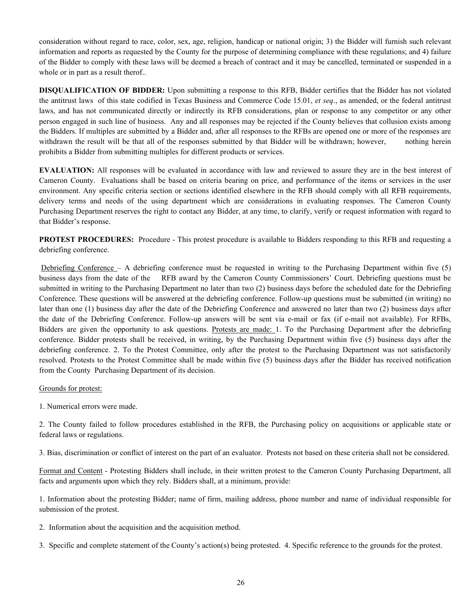consideration without regard to race, color, sex, age, religion, handicap or national origin; 3) the Bidder will furnish such relevant information and reports as requested by the County for the purpose of determining compliance with these regulations; and 4) failure of the Bidder to comply with these laws will be deemed a breach of contract and it may be cancelled, terminated or suspended in a whole or in part as a result therof..

**DISQUALIFICATION OF BIDDER:** Upon submitting a response to this RFB, Bidder certifies that the Bidder has not violated the antitrust laws of this state codified in Texas Business and Commerce Code 15.01, *et seq*., as amended, or the federal antitrust laws, and has not communicated directly or indirectly its RFB considerations, plan or response to any competitor or any other person engaged in such line of business. Any and all responses may be rejected if the County believes that collusion exists among the Bidders. If multiples are submitted by a Bidder and, after all responses to the RFBs are opened one or more of the responses are withdrawn the result will be that all of the responses submitted by that Bidder will be withdrawn; however, nothing herein prohibits a Bidder from submitting multiples for different products or services.

**EVALUATION:** All responses will be evaluated in accordance with law and reviewed to assure they are in the best interest of Cameron County. Evaluations shall be based on criteria bearing on price, and performance of the items or services in the user environment. Any specific criteria section or sections identified elsewhere in the RFB should comply with all RFB requirements, delivery terms and needs of the using department which are considerations in evaluating responses. The Cameron County Purchasing Department reserves the right to contact any Bidder, at any time, to clarify, verify or request information with regard to that Bidder's response.

**PROTEST PROCEDURES:** Procedure - This protest procedure is available to Bidders responding to this RFB and requesting a debriefing conference.

Debriefing Conference – A debriefing conference must be requested in writing to the Purchasing Department within five (5) business days from the date of the RFB award by the Cameron County Commissioners' Court. Debriefing questions must be submitted in writing to the Purchasing Department no later than two (2) business days before the scheduled date for the Debriefing Conference. These questions will be answered at the debriefing conference. Follow-up questions must be submitted (in writing) no later than one (1) business day after the date of the Debriefing Conference and answered no later than two (2) business days after the date of the Debriefing Conference. Follow-up answers will be sent via e-mail or fax (if e-mail not available). For RFBs, Bidders are given the opportunity to ask questions. Protests are made: 1. To the Purchasing Department after the debriefing conference. Bidder protests shall be received, in writing, by the Purchasing Department within five (5) business days after the debriefing conference. 2. To the Protest Committee, only after the protest to the Purchasing Department was not satisfactorily resolved. Protests to the Protest Committee shall be made within five (5) business days after the Bidder has received notification from the County Purchasing Department of its decision.

#### Grounds for protest:

1. Numerical errors were made.

2. The County failed to follow procedures established in the RFB, the Purchasing policy on acquisitions or applicable state or federal laws or regulations.

3. Bias, discrimination or conflict of interest on the part of an evaluator. Protests not based on these criteria shall not be considered.

Format and Content - Protesting Bidders shall include, in their written protest to the Cameron County Purchasing Department, all facts and arguments upon which they rely. Bidders shall, at a minimum, provide:

1. Information about the protesting Bidder; name of firm, mailing address, phone number and name of individual responsible for submission of the protest.

2. Information about the acquisition and the acquisition method.

3. Specific and complete statement of the County's action(s) being protested. 4. Specific reference to the grounds for the protest.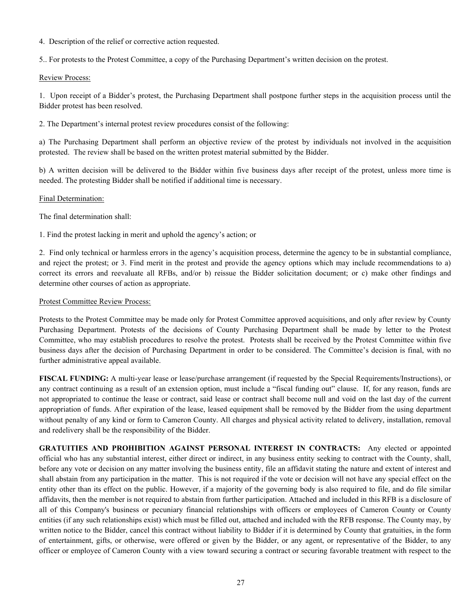4. Description of the relief or corrective action requested.

5.. For protests to the Protest Committee, a copy of the Purchasing Department's written decision on the protest.

#### Review Process:

1. Upon receipt of a Bidder's protest, the Purchasing Department shall postpone further steps in the acquisition process until the Bidder protest has been resolved.

2. The Department's internal protest review procedures consist of the following:

a) The Purchasing Department shall perform an objective review of the protest by individuals not involved in the acquisition protested. The review shall be based on the written protest material submitted by the Bidder.

b) A written decision will be delivered to the Bidder within five business days after receipt of the protest, unless more time is needed. The protesting Bidder shall be notified if additional time is necessary.

### Final Determination:

The final determination shall:

1. Find the protest lacking in merit and uphold the agency's action; or

2. Find only technical or harmless errors in the agency's acquisition process, determine the agency to be in substantial compliance, and reject the protest; or 3. Find merit in the protest and provide the agency options which may include recommendations to a) correct its errors and reevaluate all RFBs, and/or b) reissue the Bidder solicitation document; or c) make other findings and determine other courses of action as appropriate.

### Protest Committee Review Process:

Protests to the Protest Committee may be made only for Protest Committee approved acquisitions, and only after review by County Purchasing Department. Protests of the decisions of County Purchasing Department shall be made by letter to the Protest Committee, who may establish procedures to resolve the protest. Protests shall be received by the Protest Committee within five business days after the decision of Purchasing Department in order to be considered. The Committee's decision is final, with no further administrative appeal available.

**FISCAL FUNDING:** A multi-year lease or lease/purchase arrangement (if requested by the Special Requirements/Instructions), or any contract continuing as a result of an extension option, must include a "fiscal funding out" clause. If, for any reason, funds are not appropriated to continue the lease or contract, said lease or contract shall become null and void on the last day of the current appropriation of funds. After expiration of the lease, leased equipment shall be removed by the Bidder from the using department without penalty of any kind or form to Cameron County. All charges and physical activity related to delivery, installation, removal and redelivery shall be the responsibility of the Bidder.

**GRATUITIES AND PROHIBITION AGAINST PERSONAL INTEREST IN CONTRACTS:** Any elected or appointed official who has any substantial interest, either direct or indirect, in any business entity seeking to contract with the County, shall, before any vote or decision on any matter involving the business entity, file an affidavit stating the nature and extent of interest and shall abstain from any participation in the matter. This is not required if the vote or decision will not have any special effect on the entity other than its effect on the public. However, if a majority of the governing body is also required to file, and do file similar affidavits, then the member is not required to abstain from further participation. Attached and included in this RFB is a disclosure of all of this Company's business or pecuniary financial relationships with officers or employees of Cameron County or County entities (if any such relationships exist) which must be filled out, attached and included with the RFB response. The County may, by written notice to the Bidder, cancel this contract without liability to Bidder if it is determined by County that gratuities, in the form of entertainment, gifts, or otherwise, were offered or given by the Bidder, or any agent, or representative of the Bidder, to any officer or employee of Cameron County with a view toward securing a contract or securing favorable treatment with respect to the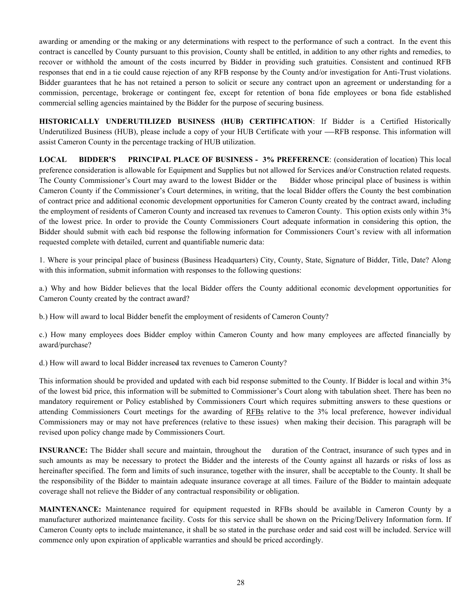awarding or amending or the making or any determinations with respect to the performance of such a contract. In the event this contract is cancelled by County pursuant to this provision, County shall be entitled, in addition to any other rights and remedies, to recover or withhold the amount of the costs incurred by Bidder in providing such gratuities. Consistent and continued RFB responses that end in a tie could cause rejection of any RFB response by the County and/or investigation for Anti-Trust violations. Bidder guarantees that he has not retained a person to solicit or secure any contract upon an agreement or understanding for a commission, percentage, brokerage or contingent fee, except for retention of bona fide employees or bona fide established commercial selling agencies maintained by the Bidder for the purpose of securing business.

**HISTORICALLY UNDERUTILIZED BUSINESS (HUB) CERTIFICATION**: If Bidder is a Certified Historically Underutilized Business (HUB), please include a copy of your HUB Certificate with your --RFB response. This information will assist Cameron County in the percentage tracking of HUB utilization.

**LOCAL BIDDER'S PRINCIPAL PLACE OF BUSINESS - 3% PREFERENCE**: (consideration of location) This local preference consideration is allowable for Equipment and Supplies but not allowed for Services and/or Construction related requests. The County Commissioner's Court may award to the lowest Bidder or the Bidder whose principal place of business is within Cameron County if the Commissioner's Court determines, in writing, that the local Bidder offers the County the best combination of contract price and additional economic development opportunities for Cameron County created by the contract award, including the employment of residents of Cameron County and increased tax revenues to Cameron County. This option exists only within 3% of the lowest price. In order to provide the County Commissioners Court adequate information in considering this option, the Bidder should submit with each bid response the following information for Commissioners Court's review with all information requested complete with detailed, current and quantifiable numeric data:

1. Where is your principal place of business (Business Headquarters) City, County, State, Signature of Bidder, Title, Date? Along with this information, submit information with responses to the following questions:

a.) Why and how Bidder believes that the local Bidder offers the County additional economic development opportunities for Cameron County created by the contract award?

b.) How will award to local Bidder benefit the employment of residents of Cameron County?

c.) How many employees does Bidder employ within Cameron County and how many employees are affected financially by award/purchase?

d.) How will award to local Bidder increased tax revenues to Cameron County?

This information should be provided and updated with each bid response submitted to the County. If Bidder is local and within 3% of the lowest bid price, this information will be submitted to Commissioner's Court along with tabulation sheet. There has been no mandatory requirement or Policy established by Commissioners Court which requires submitting answers to these questions or attending Commissioners Court meetings for the awarding of RFBs relative to the 3% local preference, however individual Commissioners may or may not have preferences (relative to these issues) when making their decision. This paragraph will be revised upon policy change made by Commissioners Court.

**INSURANCE:** The Bidder shall secure and maintain, throughout the duration of the Contract, insurance of such types and in such amounts as may be necessary to protect the Bidder and the interests of the County against all hazards or risks of loss as hereinafter specified. The form and limits of such insurance, together with the insurer, shall be acceptable to the County. It shall be the responsibility of the Bidder to maintain adequate insurance coverage at all times. Failure of the Bidder to maintain adequate coverage shall not relieve the Bidder of any contractual responsibility or obligation.

**MAINTENANCE:** Maintenance required for equipment requested in RFBs should be available in Cameron County by a manufacturer authorized maintenance facility. Costs for this service shall be shown on the Pricing/Delivery Information form. If Cameron County opts to include maintenance, it shall be so stated in the purchase order and said cost will be included. Service will commence only upon expiration of applicable warranties and should be priced accordingly.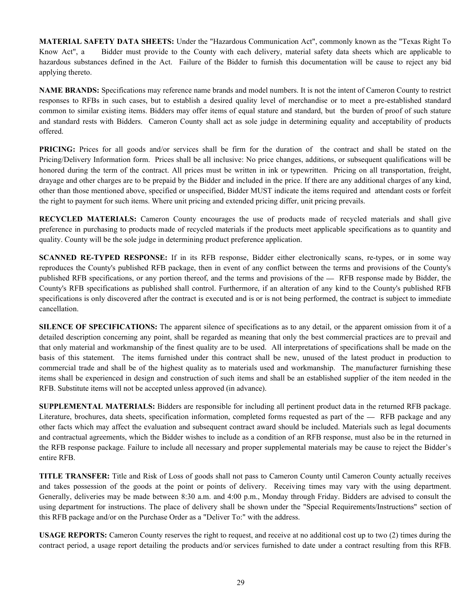**MATERIAL SAFETY DATA SHEETS:** Under the "Hazardous Communication Act", commonly known as the "Texas Right To Know Act", a Bidder must provide to the County with each delivery, material safety data sheets which are applicable to hazardous substances defined in the Act. Failure of the Bidder to furnish this documentation will be cause to reject any bid applying thereto.

**NAME BRANDS:** Specifications may reference name brands and model numbers. It is not the intent of Cameron County to restrict responses to RFBs in such cases, but to establish a desired quality level of merchandise or to meet a pre-established standard common to similar existing items. Bidders may offer items of equal stature and standard, but the burden of proof of such stature and standard rests with Bidders. Cameron County shall act as sole judge in determining equality and acceptability of products offered.

**PRICING:** Prices for all goods and/or services shall be firm for the duration of the contract and shall be stated on the Pricing/Delivery Information form. Prices shall be all inclusive: No price changes, additions, or subsequent qualifications will be honored during the term of the contract. All prices must be written in ink or typewritten. Pricing on all transportation, freight, drayage and other charges are to be prepaid by the Bidder and included in the price. If there are any additional charges of any kind, other than those mentioned above, specified or unspecified, Bidder MUST indicate the items required and attendant costs or forfeit the right to payment for such items. Where unit pricing and extended pricing differ, unit pricing prevails.

**RECYCLED MATERIALS:** Cameron County encourages the use of products made of recycled materials and shall give preference in purchasing to products made of recycled materials if the products meet applicable specifications as to quantity and quality. County will be the sole judge in determining product preference application.

**SCANNED RE-TYPED RESPONSE:** If in its RFB response, Bidder either electronically scans, re-types, or in some way reproduces the County's published RFB package, then in event of any conflict between the terms and provisions of the County's published RFB specifications, or any portion thereof, and the terms and provisions of the  $-$  RFB response made by Bidder, the County's RFB specifications as published shall control. Furthermore, if an alteration of any kind to the County's published RFB specifications is only discovered after the contract is executed and is or is not being performed, the contract is subject to immediate cancellation.

**SILENCE OF SPECIFICATIONS:** The apparent silence of specifications as to any detail, or the apparent omission from it of a detailed description concerning any point, shall be regarded as meaning that only the best commercial practices are to prevail and that only material and workmanship of the finest quality are to be used. All interpretations of specifications shall be made on the basis of this statement. The items furnished under this contract shall be new, unused of the latest product in production to commercial trade and shall be of the highest quality as to materials used and workmanship. The manufacturer furnishing these items shall be experienced in design and construction of such items and shall be an established supplier of the item needed in the RFB. Substitute items will not be accepted unless approved (in advance).

**SUPPLEMENTAL MATERIALS:** Bidders are responsible for including all pertinent product data in the returned RFB package. Literature, brochures, data sheets, specification information, completed forms requested as part of the — RFB package and any other facts which may affect the evaluation and subsequent contract award should be included. Materials such as legal documents and contractual agreements, which the Bidder wishes to include as a condition of an RFB response, must also be in the returned in the RFB response package. Failure to include all necessary and proper supplemental materials may be cause to reject the Bidder's entire RFB.

**TITLE TRANSFER:** Title and Risk of Loss of goods shall not pass to Cameron County until Cameron County actually receives and takes possession of the goods at the point or points of delivery. Receiving times may vary with the using department. Generally, deliveries may be made between 8:30 a.m. and 4:00 p.m., Monday through Friday. Bidders are advised to consult the using department for instructions. The place of delivery shall be shown under the "Special Requirements/Instructions" section of this RFB package and/or on the Purchase Order as a "Deliver To:" with the address.

**USAGE REPORTS:** Cameron County reserves the right to request, and receive at no additional cost up to two (2) times during the contract period, a usage report detailing the products and/or services furnished to date under a contract resulting from this RFB.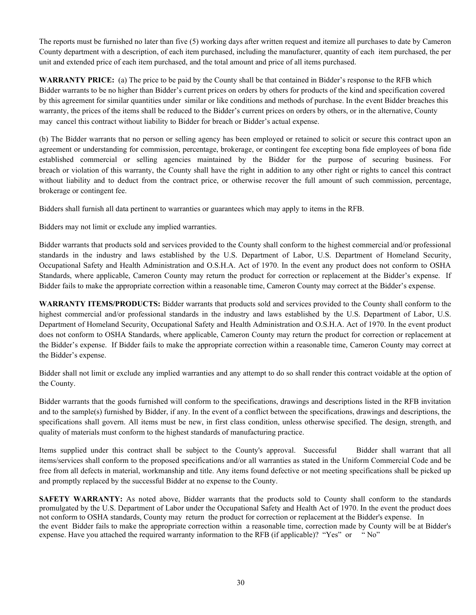The reports must be furnished no later than five (5) working days after written request and itemize all purchases to date by Cameron County department with a description, of each item purchased, including the manufacturer, quantity of each item purchased, the per unit and extended price of each item purchased, and the total amount and price of all items purchased.

**WARRANTY PRICE:** (a) The price to be paid by the County shall be that contained in Bidder's response to the RFB which Bidder warrants to be no higher than Bidder's current prices on orders by others for products of the kind and specification covered by this agreement for similar quantities under similar or like conditions and methods of purchase. In the event Bidder breaches this warranty, the prices of the items shall be reduced to the Bidder's current prices on orders by others, or in the alternative, County may cancel this contract without liability to Bidder for breach or Bidder's actual expense.

(b) The Bidder warrants that no person or selling agency has been employed or retained to solicit or secure this contract upon an agreement or understanding for commission, percentage, brokerage, or contingent fee excepting bona fide employees of bona fide established commercial or selling agencies maintained by the Bidder for the purpose of securing business. For breach or violation of this warranty, the County shall have the right in addition to any other right or rights to cancel this contract without liability and to deduct from the contract price, or otherwise recover the full amount of such commission, percentage, brokerage or contingent fee.

Bidders shall furnish all data pertinent to warranties or guarantees which may apply to items in the RFB.

Bidders may not limit or exclude any implied warranties.

Bidder warrants that products sold and services provided to the County shall conform to the highest commercial and/or professional standards in the industry and laws established by the U.S. Department of Labor, U.S. Department of Homeland Security, Occupational Safety and Health Administration and O.S.H.A. Act of 1970. In the event any product does not conform to OSHA Standards, where applicable, Cameron County may return the product for correction or replacement at the Bidder's expense. If Bidder fails to make the appropriate correction within a reasonable time, Cameron County may correct at the Bidder's expense.

**WARRANTY ITEMS/PRODUCTS:** Bidder warrants that products sold and services provided to the County shall conform to the highest commercial and/or professional standards in the industry and laws established by the U.S. Department of Labor, U.S. Department of Homeland Security, Occupational Safety and Health Administration and O.S.H.A. Act of 1970. In the event product does not conform to OSHA Standards, where applicable, Cameron County may return the product for correction or replacement at the Bidder's expense. If Bidder fails to make the appropriate correction within a reasonable time, Cameron County may correct at the Bidder's expense.

Bidder shall not limit or exclude any implied warranties and any attempt to do so shall render this contract voidable at the option of the County.

Bidder warrants that the goods furnished will conform to the specifications, drawings and descriptions listed in the RFB invitation and to the sample(s) furnished by Bidder, if any. In the event of a conflict between the specifications, drawings and descriptions, the specifications shall govern. All items must be new, in first class condition, unless otherwise specified. The design, strength, and quality of materials must conform to the highest standards of manufacturing practice.

Items supplied under this contract shall be subject to the County's approval. Successful Bidder shall warrant that all items/services shall conform to the proposed specifications and/or all warranties as stated in the Uniform Commercial Code and be free from all defects in material, workmanship and title. Any items found defective or not meeting specifications shall be picked up and promptly replaced by the successful Bidder at no expense to the County.

**SAFETY WARRANTY:** As noted above, Bidder warrants that the products sold to County shall conform to the standards promulgated by the U.S. Department of Labor under the Occupational Safety and Health Act of 1970. In the event the product does not conform to OSHA standards, County may return the product for correction or replacement at the Bidder's expense. In the event Bidder fails to make the appropriate correction within a reasonable time, correction made by County will be at Bidder's expense. Have you attached the required warranty information to the RFB (if applicable)? "Yes" or " No"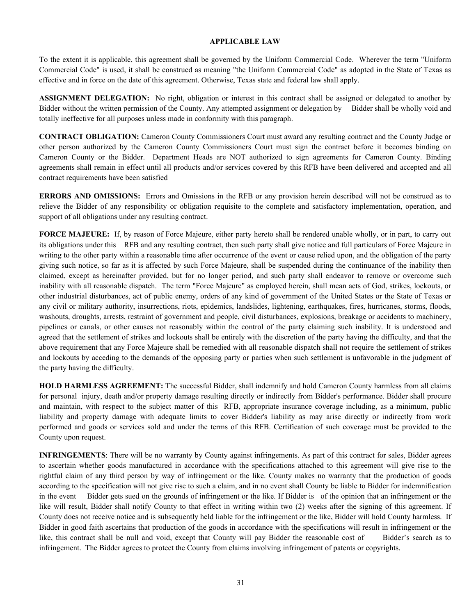#### **APPLICABLE LAW**

To the extent it is applicable, this agreement shall be governed by the Uniform Commercial Code. Wherever the term "Uniform Commercial Code" is used, it shall be construed as meaning "the Uniform Commercial Code" as adopted in the State of Texas as effective and in force on the date of this agreement. Otherwise, Texas state and federal law shall apply.

**ASSIGNMENT DELEGATION:** No right, obligation or interest in this contract shall be assigned or delegated to another by Bidder without the written permission of the County. Any attempted assignment or delegation by Bidder shall be wholly void and totally ineffective for all purposes unless made in conformity with this paragraph.

**CONTRACT OBLIGATION:** Cameron County Commissioners Court must award any resulting contract and the County Judge or other person authorized by the Cameron County Commissioners Court must sign the contract before it becomes binding on Cameron County or the Bidder. Department Heads are NOT authorized to sign agreements for Cameron County. Binding agreements shall remain in effect until all products and/or services covered by this RFB have been delivered and accepted and all contract requirements have been satisfied

**ERRORS AND OMISSIONS:** Errors and Omissions in the RFB or any provision herein described will not be construed as to relieve the Bidder of any responsibility or obligation requisite to the complete and satisfactory implementation, operation, and support of all obligations under any resulting contract.

**FORCE MAJEURE:** If, by reason of Force Majeure, either party hereto shall be rendered unable wholly, or in part, to carry out its obligations under this RFB and any resulting contract, then such party shall give notice and full particulars of Force Majeure in writing to the other party within a reasonable time after occurrence of the event or cause relied upon, and the obligation of the party giving such notice, so far as it is affected by such Force Majeure, shall be suspended during the continuance of the inability then claimed, except as hereinafter provided, but for no longer period, and such party shall endeavor to remove or overcome such inability with all reasonable dispatch. The term "Force Majeure" as employed herein, shall mean acts of God, strikes, lockouts, or other industrial disturbances, act of public enemy, orders of any kind of government of the United States or the State of Texas or any civil or military authority, insurrections, riots, epidemics, landslides, lightening, earthquakes, fires, hurricanes, storms, floods, washouts, droughts, arrests, restraint of government and people, civil disturbances, explosions, breakage or accidents to machinery, pipelines or canals, or other causes not reasonably within the control of the party claiming such inability. It is understood and agreed that the settlement of strikes and lockouts shall be entirely with the discretion of the party having the difficulty, and that the above requirement that any Force Majeure shall be remedied with all reasonable dispatch shall not require the settlement of strikes and lockouts by acceding to the demands of the opposing party or parties when such settlement is unfavorable in the judgment of the party having the difficulty.

**HOLD HARMLESS AGREEMENT:** The successful Bidder, shall indemnify and hold Cameron County harmless from all claims for personal injury, death and/or property damage resulting directly or indirectly from Bidder's performance. Bidder shall procure and maintain, with respect to the subject matter of this RFB, appropriate insurance coverage including, as a minimum, public liability and property damage with adequate limits to cover Bidder's liability as may arise directly or indirectly from work performed and goods or services sold and under the terms of this RFB. Certification of such coverage must be provided to the County upon request.

**INFRINGEMENTS**: There will be no warranty by County against infringements. As part of this contract for sales, Bidder agrees to ascertain whether goods manufactured in accordance with the specifications attached to this agreement will give rise to the rightful claim of any third person by way of infringement or the like. County makes no warranty that the production of goods according to the specification will not give rise to such a claim, and in no event shall County be liable to Bidder for indemnification in the event Bidder gets sued on the grounds of infringement or the like. If Bidder is of the opinion that an infringement or the like will result, Bidder shall notify County to that effect in writing within two (2) weeks after the signing of this agreement. If County does not receive notice and is subsequently held liable for the infringement or the like, Bidder will hold County harmless. If Bidder in good faith ascertains that production of the goods in accordance with the specifications will result in infringement or the like, this contract shall be null and void, except that County will pay Bidder the reasonable cost of Bidder's search as to infringement. The Bidder agrees to protect the County from claims involving infringement of patents or copyrights.